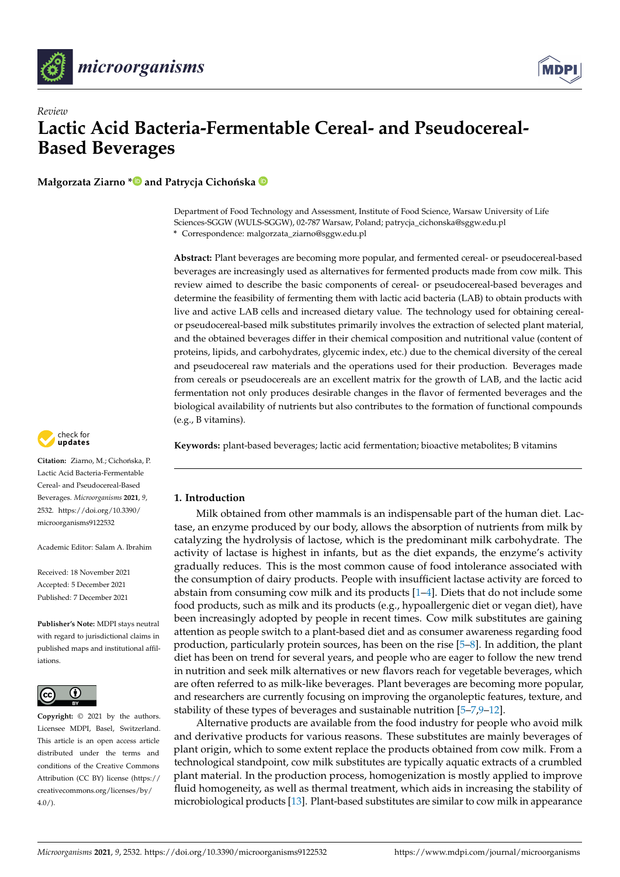



# *Review* **Lactic Acid Bacteria-Fermentable Cereal- and Pseudocereal-Based Beverages**

**Małgorzata Ziarno [\\*](https://orcid.org/0000-0001-7445-6375)** and Patrycja Cichońska <sup>D</sup>

Department of Food Technology and Assessment, Institute of Food Science, Warsaw University of Life Sciences-SGGW (WULS-SGGW), 02-787 Warsaw, Poland; patrycja\_cichonska@sggw.edu.pl **\*** Correspondence: malgorzata\_ziarno@sggw.edu.pl

**Abstract:** Plant beverages are becoming more popular, and fermented cereal- or pseudocereal-based beverages are increasingly used as alternatives for fermented products made from cow milk. This review aimed to describe the basic components of cereal- or pseudocereal-based beverages and determine the feasibility of fermenting them with lactic acid bacteria (LAB) to obtain products with live and active LAB cells and increased dietary value. The technology used for obtaining cerealor pseudocereal-based milk substitutes primarily involves the extraction of selected plant material, and the obtained beverages differ in their chemical composition and nutritional value (content of proteins, lipids, and carbohydrates, glycemic index, etc.) due to the chemical diversity of the cereal and pseudocereal raw materials and the operations used for their production. Beverages made from cereals or pseudocereals are an excellent matrix for the growth of LAB, and the lactic acid fermentation not only produces desirable changes in the flavor of fermented beverages and the biological availability of nutrients but also contributes to the formation of functional compounds (e.g., B vitamins).

check for<br>**updates** 

Citation: Ziarno, M.: Cichońska, P. Lactic Acid Bacteria-Fermentable Cereal- and Pseudocereal-Based Beverages. *Microorganisms* **2021**, *9*, 2532. [https://doi.org/10.3390/](https://doi.org/10.3390/microorganisms9122532) [microorganisms9122532](https://doi.org/10.3390/microorganisms9122532)

Academic Editor: Salam A. Ibrahim

Received: 18 November 2021 Accepted: 5 December 2021 Published: 7 December 2021

**Publisher's Note:** MDPI stays neutral with regard to jurisdictional claims in published maps and institutional affiliations.



**Copyright:** © 2021 by the authors. Licensee MDPI, Basel, Switzerland. This article is an open access article distributed under the terms and conditions of the Creative Commons Attribution (CC BY) license (https:/[/](https://creativecommons.org/licenses/by/4.0/) [creativecommons.org/licenses/by/](https://creativecommons.org/licenses/by/4.0/)  $4.0/$ ).

**Keywords:** plant-based beverages; lactic acid fermentation; bioactive metabolites; B vitamins

# **1. Introduction**

Milk obtained from other mammals is an indispensable part of the human diet. Lactase, an enzyme produced by our body, allows the absorption of nutrients from milk by catalyzing the hydrolysis of lactose, which is the predominant milk carbohydrate. The activity of lactase is highest in infants, but as the diet expands, the enzyme's activity gradually reduces. This is the most common cause of food intolerance associated with the consumption of dairy products. People with insufficient lactase activity are forced to abstain from consuming cow milk and its products [\[1](#page-15-0)[–4\]](#page-15-1). Diets that do not include some food products, such as milk and its products (e.g., hypoallergenic diet or vegan diet), have been increasingly adopted by people in recent times. Cow milk substitutes are gaining attention as people switch to a plant-based diet and as consumer awareness regarding food production, particularly protein sources, has been on the rise [\[5–](#page-15-2)[8\]](#page-15-3). In addition, the plant diet has been on trend for several years, and people who are eager to follow the new trend in nutrition and seek milk alternatives or new flavors reach for vegetable beverages, which are often referred to as milk-like beverages. Plant beverages are becoming more popular, and researchers are currently focusing on improving the organoleptic features, texture, and stability of these types of beverages and sustainable nutrition [\[5](#page-15-2)[–7](#page-15-4)[,9–](#page-15-5)[12\]](#page-15-6).

Alternative products are available from the food industry for people who avoid milk and derivative products for various reasons. These substitutes are mainly beverages of plant origin, which to some extent replace the products obtained from cow milk. From a technological standpoint, cow milk substitutes are typically aquatic extracts of a crumbled plant material. In the production process, homogenization is mostly applied to improve fluid homogeneity, as well as thermal treatment, which aids in increasing the stability of microbiological products [\[13\]](#page-15-7). Plant-based substitutes are similar to cow milk in appearance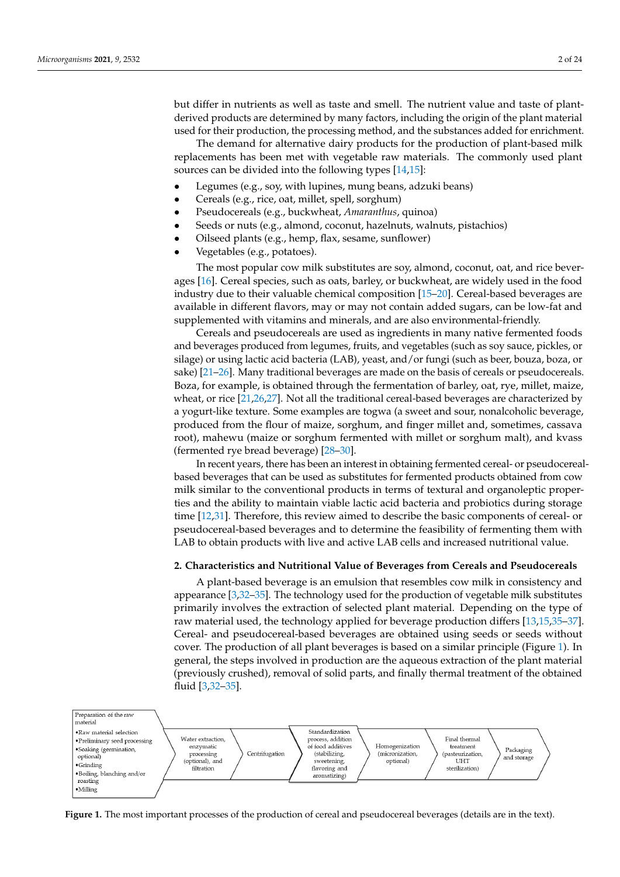but differ in nutrients as well as taste and smell. The nutrient value and taste of plantderived products are determined by many factors, including the origin of the plant material used for their production, the processing method, and the substances added for enrichment.

The demand for alternative dairy products for the production of plant-based milk replacements has been met with vegetable raw materials. The commonly used plant sources can be divided into the following types [\[14](#page-15-8)[,15\]](#page-15-9):

- Legumes (e.g., soy, with lupines, mung beans, adzuki beans)
- Cereals (e.g., rice, oat, millet, spell, sorghum)
- Pseudocereals (e.g., buckwheat, *Amaranthus*, quinoa)
- Seeds or nuts (e.g., almond, coconut, hazelnuts, walnuts, pistachios)
- Oilseed plants (e.g., hemp, flax, sesame, sunflower)
- Vegetables (e.g., potatoes).

The most popular cow milk substitutes are soy, almond, coconut, oat, and rice beverages [\[16\]](#page-15-10). Cereal species, such as oats, barley, or buckwheat, are widely used in the food industry due to their valuable chemical composition [\[15–](#page-15-9)[20\]](#page-16-0). Cereal-based beverages are available in different flavors, may or may not contain added sugars, can be low-fat and supplemented with vitamins and minerals, and are also environmental-friendly.

Cereals and pseudocereals are used as ingredients in many native fermented foods and beverages produced from legumes, fruits, and vegetables (such as soy sauce, pickles, or silage) or using lactic acid bacteria (LAB), yeast, and/or fungi (such as beer, bouza, boza, or sake) [\[21](#page-16-1)[–26\]](#page-16-2). Many traditional beverages are made on the basis of cereals or pseudocereals. Boza, for example, is obtained through the fermentation of barley, oat, rye, millet, maize, wheat, or rice [\[21](#page-16-1)[,26,](#page-16-2)[27\]](#page-16-3). Not all the traditional cereal-based beverages are characterized by a yogurt-like texture. Some examples are togwa (a sweet and sour, nonalcoholic beverage, produced from the flour of maize, sorghum, and finger millet and, sometimes, cassava root), mahewu (maize or sorghum fermented with millet or sorghum malt), and kvass (fermented rye bread beverage) [\[28–](#page-16-4)[30\]](#page-16-5).

In recent years, there has been an interest in obtaining fermented cereal- or pseudocerealbased beverages that can be used as substitutes for fermented products obtained from cow milk similar to the conventional products in terms of textural and organoleptic properties and the ability to maintain viable lactic acid bacteria and probiotics during storage time [\[12](#page-15-6)[,31\]](#page-16-6). Therefore, this review aimed to describe the basic components of cereal- or pseudocereal-based beverages and to determine the feasibility of fermenting them with LAB to obtain products with live and active LAB cells and increased nutritional value.

#### **2. Characteristics and Nutritional Value of Beverages from Cereals and Pseudocereals**

A plant-based beverage is an emulsion that resembles cow milk in consistency and appearance [\[3](#page-15-11)[,32–](#page-16-7)[35\]](#page-16-8). The technology used for the production of vegetable milk substitutes primarily involves the extraction of selected plant material. Depending on the type of raw material used, the technology applied for beverage production differs [\[13,](#page-15-7)[15,](#page-15-9)[35](#page-16-8)[–37\]](#page-16-9). Cereal- and pseudocereal-based beverages are obtained using seeds or seeds without cover. The production of all plant beverages is based on a similar principle (Figure [1\)](#page-1-0). In general, the steps involved in production are the aqueous extraction of the plant material previously crushed), removal of solid parts, and finally thermal treatment of the obtained fluid [\[3,](#page-15-11)[32–](#page-16-7)[35\]](#page-16-8).

<span id="page-1-0"></span>

**Figure 1.** The most important processes of the production of cereal and pseudocereal beverages (details are in the text). Fi**gure 1.** The most important processes of the production of cereal and pseudocereal beverages (details are in the text).<br> **Figure 1.** The most important processes of the production of cereal and pseudocereal beverages (d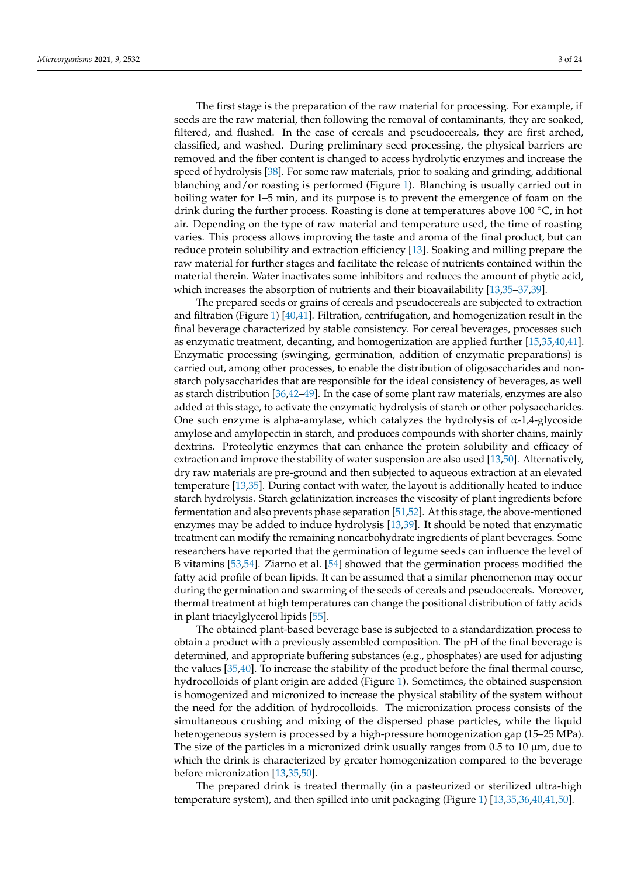The first stage is the preparation of the raw material for processing. For example, if seeds are the raw material, then following the removal of contaminants, they are soaked, filtered, and flushed. In the case of cereals and pseudocereals, they are first arched, classified, and washed. During preliminary seed processing, the physical barriers are removed and the fiber content is changed to access hydrolytic enzymes and increase the speed of hydrolysis [\[38\]](#page-16-10). For some raw materials, prior to soaking and grinding, additional blanching and/or roasting is performed (Figure [1\)](#page-1-0). Blanching is usually carried out in boiling water for 1–5 min, and its purpose is to prevent the emergence of foam on the drink during the further process. Roasting is done at temperatures above 100  $\degree$ C, in hot air. Depending on the type of raw material and temperature used, the time of roasting varies. This process allows improving the taste and aroma of the final product, but can reduce protein solubility and extraction efficiency [\[13\]](#page-15-7). Soaking and milling prepare the raw material for further stages and facilitate the release of nutrients contained within the material therein. Water inactivates some inhibitors and reduces the amount of phytic acid, which increases the absorption of nutrients and their bioavailability [\[13](#page-15-7)[,35–](#page-16-8)[37,](#page-16-9)[39\]](#page-16-11).

The prepared seeds or grains of cereals and pseudocereals are subjected to extraction and filtration (Figure [1\)](#page-1-0) [\[40](#page-16-12)[,41\]](#page-16-13). Filtration, centrifugation, and homogenization result in the final beverage characterized by stable consistency. For cereal beverages, processes such as enzymatic treatment, decanting, and homogenization are applied further [\[15](#page-15-9)[,35,](#page-16-8)[40,](#page-16-12)[41\]](#page-16-13). Enzymatic processing (swinging, germination, addition of enzymatic preparations) is carried out, among other processes, to enable the distribution of oligosaccharides and nonstarch polysaccharides that are responsible for the ideal consistency of beverages, as well as starch distribution [\[36,](#page-16-14)[42](#page-16-15)[–49\]](#page-17-0). In the case of some plant raw materials, enzymes are also added at this stage, to activate the enzymatic hydrolysis of starch or other polysaccharides. One such enzyme is alpha-amylase, which catalyzes the hydrolysis of  $\alpha$ -1,4-glycoside amylose and amylopectin in starch, and produces compounds with shorter chains, mainly dextrins. Proteolytic enzymes that can enhance the protein solubility and efficacy of extraction and improve the stability of water suspension are also used [\[13](#page-15-7)[,50\]](#page-17-1). Alternatively, dry raw materials are pre-ground and then subjected to aqueous extraction at an elevated temperature [\[13](#page-15-7)[,35\]](#page-16-8). During contact with water, the layout is additionally heated to induce starch hydrolysis. Starch gelatinization increases the viscosity of plant ingredients before fermentation and also prevents phase separation [\[51,](#page-17-2)[52\]](#page-17-3). At this stage, the above-mentioned enzymes may be added to induce hydrolysis [\[13,](#page-15-7)[39\]](#page-16-11). It should be noted that enzymatic treatment can modify the remaining noncarbohydrate ingredients of plant beverages. Some researchers have reported that the germination of legume seeds can influence the level of B vitamins [\[53](#page-17-4)[,54\]](#page-17-5). Ziarno et al. [\[54\]](#page-17-5) showed that the germination process modified the fatty acid profile of bean lipids. It can be assumed that a similar phenomenon may occur during the germination and swarming of the seeds of cereals and pseudocereals. Moreover, thermal treatment at high temperatures can change the positional distribution of fatty acids in plant triacylglycerol lipids [\[55\]](#page-17-6).

The obtained plant-based beverage base is subjected to a standardization process to obtain a product with a previously assembled composition. The pH of the final beverage is determined, and appropriate buffering substances (e.g., phosphates) are used for adjusting the values [\[35](#page-16-8)[,40\]](#page-16-12). To increase the stability of the product before the final thermal course, hydrocolloids of plant origin are added (Figure [1\)](#page-1-0). Sometimes, the obtained suspension is homogenized and micronized to increase the physical stability of the system without the need for the addition of hydrocolloids. The micronization process consists of the simultaneous crushing and mixing of the dispersed phase particles, while the liquid heterogeneous system is processed by a high-pressure homogenization gap (15–25 MPa). The size of the particles in a micronized drink usually ranges from 0.5 to 10  $\mu$ m, due to which the drink is characterized by greater homogenization compared to the beverage before micronization [\[13](#page-15-7)[,35](#page-16-8)[,50\]](#page-17-1).

The prepared drink is treated thermally (in a pasteurized or sterilized ultra-high temperature system), and then spilled into unit packaging (Figure [1\)](#page-1-0) [\[13,](#page-15-7)[35,](#page-16-8)[36,](#page-16-14)[40,](#page-16-12)[41,](#page-16-13)[50\]](#page-17-1).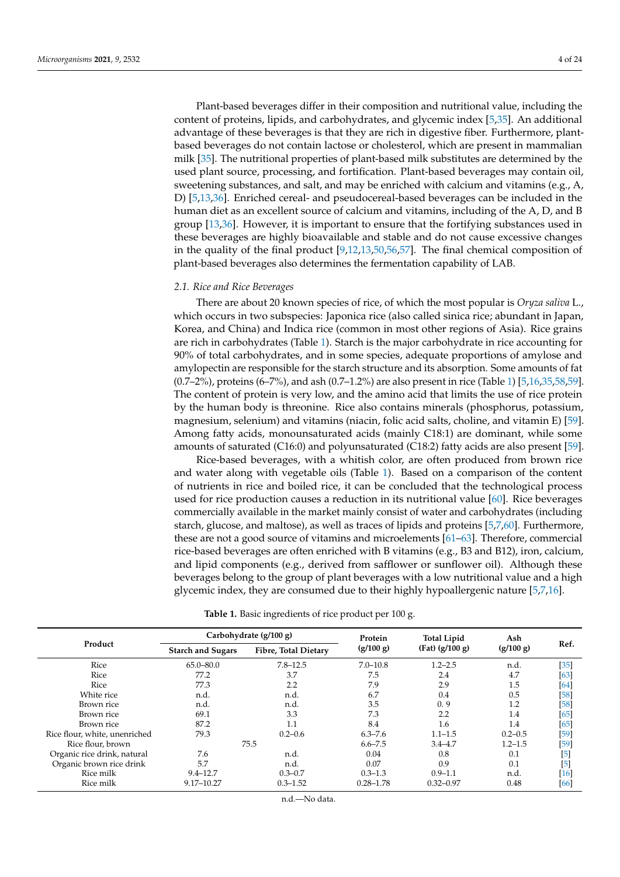Plant-based beverages differ in their composition and nutritional value, including the content of proteins, lipids, and carbohydrates, and glycemic index [\[5](#page-15-2)[,35\]](#page-16-8). An additional advantage of these beverages is that they are rich in digestive fiber. Furthermore, plantbased beverages do not contain lactose or cholesterol, which are present in mammalian milk [\[35\]](#page-16-8). The nutritional properties of plant-based milk substitutes are determined by the used plant source, processing, and fortification. Plant-based beverages may contain oil, sweetening substances, and salt, and may be enriched with calcium and vitamins (e.g., A, D) [\[5,](#page-15-2)[13,](#page-15-7)[36\]](#page-16-14). Enriched cereal- and pseudocereal-based beverages can be included in the human diet as an excellent source of calcium and vitamins, including of the A, D, and B group [\[13,](#page-15-7)[36\]](#page-16-14). However, it is important to ensure that the fortifying substances used in these beverages are highly bioavailable and stable and do not cause excessive changes in the quality of the final product [\[9](#page-15-5)[,12](#page-15-6)[,13](#page-15-7)[,50](#page-17-1)[,56](#page-17-7)[,57\]](#page-17-8). The final chemical composition of plant-based beverages also determines the fermentation capability of LAB.

### *2.1. Rice and Rice Beverages*

There are about 20 known species of rice, of which the most popular is *Oryza saliva* L., which occurs in two subspecies: Japonica rice (also called sinica rice; abundant in Japan, Korea, and China) and Indica rice (common in most other regions of Asia). Rice grains are rich in carbohydrates (Table [1\)](#page-3-0). Starch is the major carbohydrate in rice accounting for 90% of total carbohydrates, and in some species, adequate proportions of amylose and amylopectin are responsible for the starch structure and its absorption. Some amounts of fat (0.7–2%), proteins (6–7%), and ash (0.7–1.2%) are also present in rice (Table [1\)](#page-3-0) [\[5,](#page-15-2)[16,](#page-15-10)[35,](#page-16-8)[58](#page-17-9)[,59\]](#page-17-10). The content of protein is very low, and the amino acid that limits the use of rice protein by the human body is threonine. Rice also contains minerals (phosphorus, potassium, magnesium, selenium) and vitamins (niacin, folic acid salts, choline, and vitamin E) [\[59\]](#page-17-10). Among fatty acids, monounsaturated acids (mainly C18:1) are dominant, while some amounts of saturated (C16:0) and polyunsaturated (C18:2) fatty acids are also present [\[59\]](#page-17-10).

Rice-based beverages, with a whitish color, are often produced from brown rice and water along with vegetable oils (Table [1\)](#page-3-0). Based on a comparison of the content of nutrients in rice and boiled rice, it can be concluded that the technological process used for rice production causes a reduction in its nutritional value [\[60\]](#page-17-11). Rice beverages commercially available in the market mainly consist of water and carbohydrates (including starch, glucose, and maltose), as well as traces of lipids and proteins [\[5](#page-15-2)[,7](#page-15-4)[,60\]](#page-17-11). Furthermore, these are not a good source of vitamins and microelements [\[61](#page-17-12)[–63\]](#page-17-13). Therefore, commercial rice-based beverages are often enriched with B vitamins (e.g., B3 and B12), iron, calcium, and lipid components (e.g., derived from safflower or sunflower oil). Although these beverages belong to the group of plant beverages with a low nutritional value and a high glycemic index, they are consumed due to their highly hypoallergenic nature [\[5,](#page-15-2)[7,](#page-15-4)[16\]](#page-15-10).

<span id="page-3-0"></span>

|                               | Carbohydrate (g/100 g)   |                      | Protein       | <b>Total Lipid</b> | Ash         |            |
|-------------------------------|--------------------------|----------------------|---------------|--------------------|-------------|------------|
| Product                       | <b>Starch and Sugars</b> | Fibre, Total Dietary | (g/100 g)     | $(Fat)$ (g/100 g)  | (g/100 g)   | Ref.       |
| Rice                          | $65.0 - 80.0$            | $7.8 - 12.5$         | $7.0 - 10.8$  | $1.2 - 2.5$        | n.d.        | $[35]$     |
| Rice                          | 77.2                     | 3.7                  | 7.5           | 2.4                | 4.7         | [63]       |
| Rice                          | 77.3                     | 2.2                  | 7.9           | 2.9                | 1.5         | [64]       |
| White rice                    | n.d.                     | n.d.                 | 6.7           | 0.4                | 0.5         | [58]       |
| Brown rice                    | n.d.                     | n.d.                 | 3.5           | 0.9                | 1.2         | [58]       |
| Brown rice                    | 69.1                     | 3.3                  | 7.3           | 2.2                | 1.4         | [65]       |
| Brown rice                    | 87.2                     | 1.1                  | 8.4           | 1.6                | 1.4         | [65]       |
| Rice flour, white, unenriched | 79.3                     | $0.2 - 0.6$          | $6.3 - 7.6$   | $1.1 - 1.5$        | $0.2 - 0.5$ | [59]       |
| Rice flour, brown             |                          | 75.5                 | $6.6 - 7.5$   | $3.4 - 4.7$        | $1.2 - 1.5$ | [59]       |
| Organic rice drink, natural   | 7.6                      | n.d.                 | 0.04          | 0.8                | 0.1         | $[5]$      |
| Organic brown rice drink      | 5.7                      | n.d.                 | 0.07          | 0.9                | 0.1         | $\sqrt{5}$ |
| Rice milk                     | $9.4 - 12.7$             | $0.3 - 0.7$          | $0.3 - 1.3$   | $0.9 - 1.1$        | n.d.        | [16]       |
| Rice milk                     | 9.17-10.27               | $0.3 - 1.52$         | $0.28 - 1.78$ | $0.32 - 0.97$      | 0.48        | [66]       |

**Table 1.** Basic ingredients of rice product per 100 g.

n.d.—No data.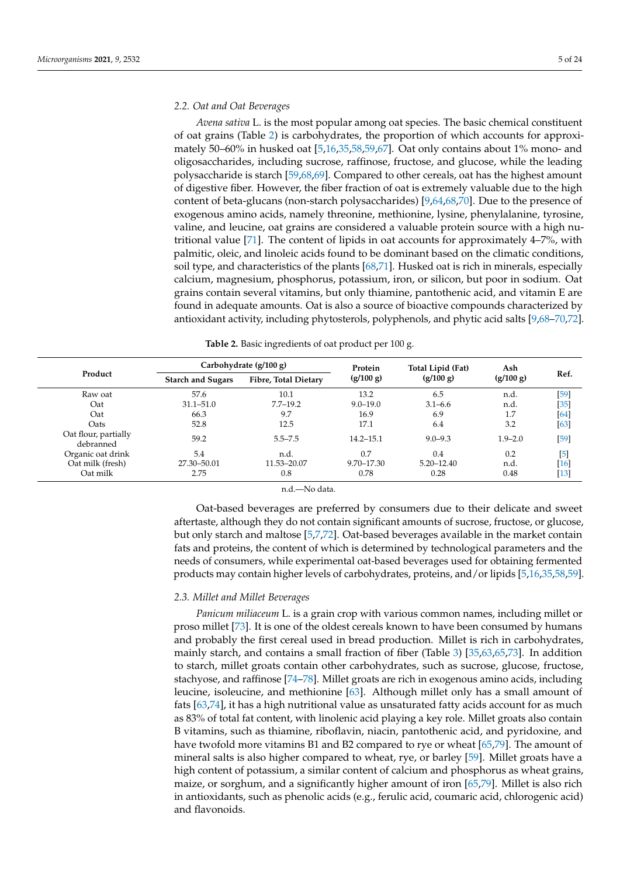## *2.2. Oat and Oat Beverages*

*Avena sativa* L. is the most popular among oat species. The basic chemical constituent of oat grains (Table [2\)](#page-4-0) is carbohydrates, the proportion of which accounts for approximately 50–60% in husked oat [\[5](#page-15-2)[,16](#page-15-10)[,35](#page-16-8)[,58](#page-17-9)[,59](#page-17-10)[,67\]](#page-17-17). Oat only contains about 1% mono- and oligosaccharides, including sucrose, raffinose, fructose, and glucose, while the leading polysaccharide is starch [\[59](#page-17-10)[,68](#page-17-18)[,69\]](#page-17-19). Compared to other cereals, oat has the highest amount of digestive fiber. However, the fiber fraction of oat is extremely valuable due to the high content of beta-glucans (non-starch polysaccharides) [\[9,](#page-15-5)[64,](#page-17-14)[68,](#page-17-18)[70\]](#page-17-20). Due to the presence of exogenous amino acids, namely threonine, methionine, lysine, phenylalanine, tyrosine, valine, and leucine, oat grains are considered a valuable protein source with a high nutritional value [\[71\]](#page-17-21). The content of lipids in oat accounts for approximately 4–7%, with palmitic, oleic, and linoleic acids found to be dominant based on the climatic conditions, soil type, and characteristics of the plants [\[68,](#page-17-18)[71\]](#page-17-21). Husked oat is rich in minerals, especially calcium, magnesium, phosphorus, potassium, iron, or silicon, but poor in sodium. Oat grains contain several vitamins, but only thiamine, pantothenic acid, and vitamin E are found in adequate amounts. Oat is also a source of bioactive compounds characterized by antioxidant activity, including phytosterols, polyphenols, and phytic acid salts [\[9,](#page-15-5)[68–](#page-17-18)[70,](#page-17-20)[72\]](#page-17-22).

| Table 2. Basic ingredients of oat product per 100 g. |
|------------------------------------------------------|
|                                                      |

<span id="page-4-0"></span>

|                                   |                          | Carbohydrate $(g/100 g)$ | Protein        | Total Lipid (Fat) | Ash         |        |
|-----------------------------------|--------------------------|--------------------------|----------------|-------------------|-------------|--------|
| Product                           | <b>Starch and Sugars</b> | Fibre, Total Dietary     | (g/100 g)      | (g/100 g)         | (g/100 g)   | Ref.   |
| Raw oat                           | 57.6                     | 10.1                     | 13.2           | 6.5               | n.d.        | $[59]$ |
| Oat                               | $31.1 - 51.0$            | $7.7 - 19.2$             | $9.0 - 19.0$   | $3.1 - 6.6$       | n.d.        | $[35]$ |
| Oat                               | 66.3                     | 9.7                      | 16.9           | 6.9               | 1.7         | [64]   |
| Oats                              | 52.8                     | 12.5                     | 17.1           | 6.4               | 3.2         | $[63]$ |
| Oat flour, partially<br>debranned | 59.2                     | $5.5 - 7.5$              | $14.2 - 15.1$  | $9.0 - 9.3$       | $1.9 - 2.0$ | $[59]$ |
| Organic oat drink                 | 5.4                      | n.d.                     | 0.7            | 0.4               | 0.2         | $[5]$  |
| Oat milk (fresh)                  | 27.30-50.01              | 11.53-20.07              | $9.70 - 17.30$ | $5.20 - 12.40$    | n.d.        | $[16]$ |
| Oat milk                          | 2.75                     | 0.8                      | 0.78           | 0.28              | 0.48        | $[13]$ |

n.d.—No data.

Oat-based beverages are preferred by consumers due to their delicate and sweet aftertaste, although they do not contain significant amounts of sucrose, fructose, or glucose, but only starch and maltose [\[5,](#page-15-2)[7,](#page-15-4)[72\]](#page-17-22). Oat-based beverages available in the market contain fats and proteins, the content of which is determined by technological parameters and the needs of consumers, while experimental oat-based beverages used for obtaining fermented products may contain higher levels of carbohydrates, proteins, and/or lipids [\[5,](#page-15-2)[16,](#page-15-10)[35,](#page-16-8)[58](#page-17-9)[,59\]](#page-17-10).

# *2.3. Millet and Millet Beverages*

*Panicum miliaceum* L. is a grain crop with various common names, including millet or proso millet [\[73\]](#page-17-23). It is one of the oldest cereals known to have been consumed by humans and probably the first cereal used in bread production. Millet is rich in carbohydrates, mainly starch, and contains a small fraction of fiber (Table [3\)](#page-5-0) [\[35,](#page-16-8)[63,](#page-17-13)[65,](#page-17-15)[73\]](#page-17-23). In addition to starch, millet groats contain other carbohydrates, such as sucrose, glucose, fructose, stachyose, and raffinose [\[74–](#page-17-24)[78\]](#page-18-0). Millet groats are rich in exogenous amino acids, including leucine, isoleucine, and methionine [\[63\]](#page-17-13). Although millet only has a small amount of fats [\[63](#page-17-13)[,74\]](#page-17-24), it has a high nutritional value as unsaturated fatty acids account for as much as 83% of total fat content, with linolenic acid playing a key role. Millet groats also contain B vitamins, such as thiamine, riboflavin, niacin, pantothenic acid, and pyridoxine, and have twofold more vitamins B1 and B2 compared to rye or wheat [\[65,](#page-17-15)[79\]](#page-18-1). The amount of mineral salts is also higher compared to wheat, rye, or barley [\[59\]](#page-17-10). Millet groats have a high content of potassium, a similar content of calcium and phosphorus as wheat grains, maize, or sorghum, and a significantly higher amount of iron [\[65](#page-17-15)[,79\]](#page-18-1). Millet is also rich in antioxidants, such as phenolic acids (e.g., ferulic acid, coumaric acid, chlorogenic acid) and flavonoids.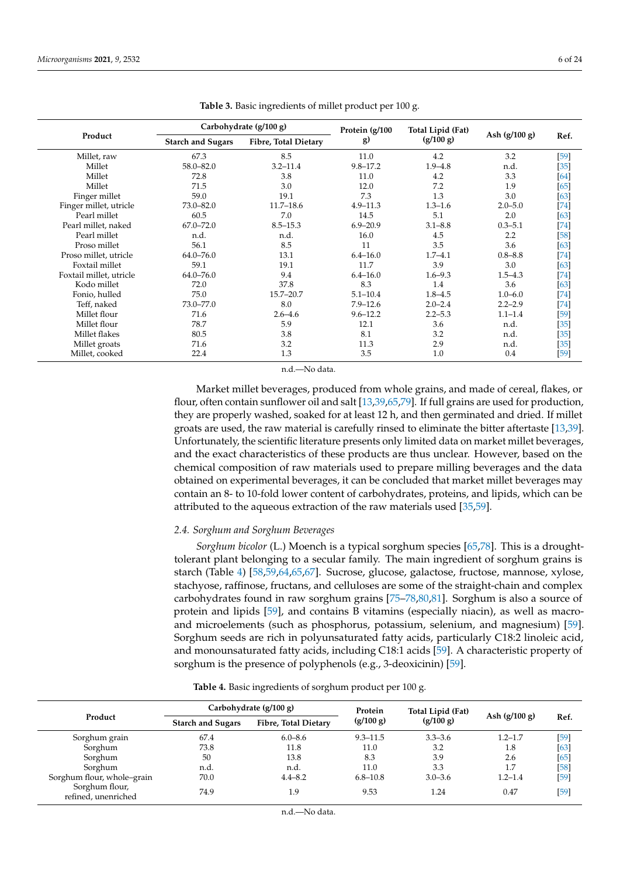<span id="page-5-0"></span>

|                         | Carbohydrate (g/100 g)   |                      | Protein (g/100 | Total Lipid (Fat) |                 |        |
|-------------------------|--------------------------|----------------------|----------------|-------------------|-----------------|--------|
| Product                 | <b>Starch and Sugars</b> | Fibre, Total Dietary | g)             | (g/100 g)         | Ash $(g/100 g)$ | Ref.   |
| Millet, raw             | 67.3                     | 8.5                  | 11.0           | 4.2               | 3.2             | [59]   |
| Millet                  | $58.0 - 82.0$            | $3.2 - 11.4$         | $9.8 - 17.2$   | $1.9 - 4.8$       | n.d.            | [35]   |
| Millet                  | 72.8                     | 3.8                  | 11.0           | 4.2               | 3.3             | [64]   |
| Millet                  | 71.5                     | 3.0                  | 12.0           | 7.2               | 1.9             | [65]   |
| Finger millet           | 59.0                     | 19.1                 | 7.3            | 1.3               | 3.0             | [63]   |
| Finger millet, utricle  | $73.0 - 82.0$            | $11.7 - 18.6$        | $4.9 - 11.3$   | $1.3 - 1.6$       | $2.0 - 5.0$     | [74]   |
| Pearl millet            | 60.5                     | 7.0                  | 14.5           | 5.1               | 2.0             | [63]   |
| Pearl millet, naked     | $67.0 - 72.0$            | $8.5 - 15.3$         | $6.9 - 20.9$   | $3.1 - 8.8$       | $0.3 - 5.1$     | [74]   |
| Pearl millet            | n.d.                     | n.d.                 | 16.0           | 4.5               | 2.2             | $[58]$ |
| Proso millet            | 56.1                     | 8.5                  | 11             | 3.5               | 3.6             | [63]   |
| Proso millet, utricle   | $64.0 - 76.0$            | 13.1                 | $6.4 - 16.0$   | $1.7 - 4.1$       | $0.8 - 8.8$     | [74]   |
| Foxtail millet          | 59.1                     | 19.1                 | 11.7           | 3.9               | 3.0             | [63]   |
| Foxtail millet, utricle | $64.0 - 76.0$            | 9.4                  | $6.4 - 16.0$   | $1.6 - 9.3$       | $1.5 - 4.3$     | [74]   |
| Kodo millet             | 72.0                     | 37.8                 | 8.3            | 1.4               | 3.6             | [63]   |
| Fonio, hulled           | 75.0                     | $15.7 - 20.7$        | $5.1 - 10.4$   | $1.8 - 4.5$       | $1.0 - 6.0$     | [74]   |
| Teff, naked             | 73.0–77.0                | 8.0                  | $7.9 - 12.6$   | $2.0 - 2.4$       | $2.2 - 2.9$     | [74]   |
| Millet flour            | 71.6                     | $2.6 - 4.6$          | $9.6 - 12.2$   | $2.2 - 5.3$       | $1.1 - 1.4$     | [59]   |
| Millet flour            | 78.7                     | 5.9                  | 12.1           | 3.6               | n.d.            | [35]   |
| Millet flakes           | 80.5                     | 3.8                  | 8.1            | 3.2               | n.d.            | [35]   |
| Millet groats           | 71.6                     | 3.2                  | 11.3           | 2.9               | n.d.            | $[35]$ |
| Millet, cooked          | 22.4                     | 1.3                  | 3.5            | 1.0               | 0.4             | [59]   |

**Table 3.** Basic ingredients of millet product per 100 g.

n.d.—No data.

Market millet beverages, produced from whole grains, and made of cereal, flakes, or flour, often contain sunflower oil and salt [\[13,](#page-15-7)[39](#page-16-11)[,65](#page-17-15)[,79\]](#page-18-1). If full grains are used for production, they are properly washed, soaked for at least 12 h, and then germinated and dried. If millet groats are used, the raw material is carefully rinsed to eliminate the bitter aftertaste [\[13](#page-15-7)[,39\]](#page-16-11). Unfortunately, the scientific literature presents only limited data on market millet beverages, and the exact characteristics of these products are thus unclear. However, based on the chemical composition of raw materials used to prepare milling beverages and the data obtained on experimental beverages, it can be concluded that market millet beverages may contain an 8- to 10-fold lower content of carbohydrates, proteins, and lipids, which can be attributed to the aqueous extraction of the raw materials used [\[35](#page-16-8)[,59\]](#page-17-10).

## *2.4. Sorghum and Sorghum Beverages*

*Sorghum bicolor* (L.) Moench is a typical sorghum species [\[65,](#page-17-15)[78\]](#page-18-0). This is a droughttolerant plant belonging to a secular family. The main ingredient of sorghum grains is starch (Table [4\)](#page-5-1) [\[58,](#page-17-9)[59,](#page-17-10)[64,](#page-17-14)[65,](#page-17-15)[67\]](#page-17-17). Sucrose, glucose, galactose, fructose, mannose, xylose, stachyose, raffinose, fructans, and celluloses are some of the straight-chain and complex carbohydrates found in raw sorghum grains [\[75](#page-17-25)[–78](#page-18-0)[,80](#page-18-2)[,81\]](#page-18-3). Sorghum is also a source of protein and lipids [\[59\]](#page-17-10), and contains B vitamins (especially niacin), as well as macroand microelements (such as phosphorus, potassium, selenium, and magnesium) [\[59\]](#page-17-10). Sorghum seeds are rich in polyunsaturated fatty acids, particularly C18:2 linoleic acid, and monounsaturated fatty acids, including C18:1 acids [\[59\]](#page-17-10). A characteristic property of sorghum is the presence of polyphenols (e.g., 3-deoxicinin) [\[59\]](#page-17-10).

|  | Table 4. Basic ingredients of sorghum product per 100 g. |  |  |  |  |
|--|----------------------------------------------------------|--|--|--|--|
|--|----------------------------------------------------------|--|--|--|--|

<span id="page-5-1"></span>

|                                       | Carbohydrate (g/100 g)   |                      | Protein      | Total Lipid (Fat) |                 |        |
|---------------------------------------|--------------------------|----------------------|--------------|-------------------|-----------------|--------|
| Product                               | <b>Starch and Sugars</b> | Fibre, Total Dietary | (g/100 g)    | (g/100 g)         | Ash $(g/100 g)$ | Ref.   |
| Sorghum grain                         | 67.4                     | $6.0 - 8.6$          | $9.3 - 11.5$ | $3.3 - 3.6$       | $1.2 - 1.7$     | $[59]$ |
| Sorghum                               | 73.8                     | 11.8                 | 11.0         | 3.2               | 1.8             | [63]   |
| Sorghum                               | 50                       | 13.8                 | 8.3          | 3.9               | 2.6             | [65]   |
| Sorghum                               | n.d.                     | n.d.                 | 11.0         | 3.3               | 1.7             | [58]   |
| Sorghum flour, whole-grain            | 70.0                     | $4.4 - 8.2$          | $6.8 - 10.8$ | $3.0 - 3.6$       | $1.2 - 1.4$     | $[59]$ |
| Sorghum flour,<br>refined, unenriched | 74.9                     | 1.9                  | 9.53         | 1.24              | 0.47            | $[59]$ |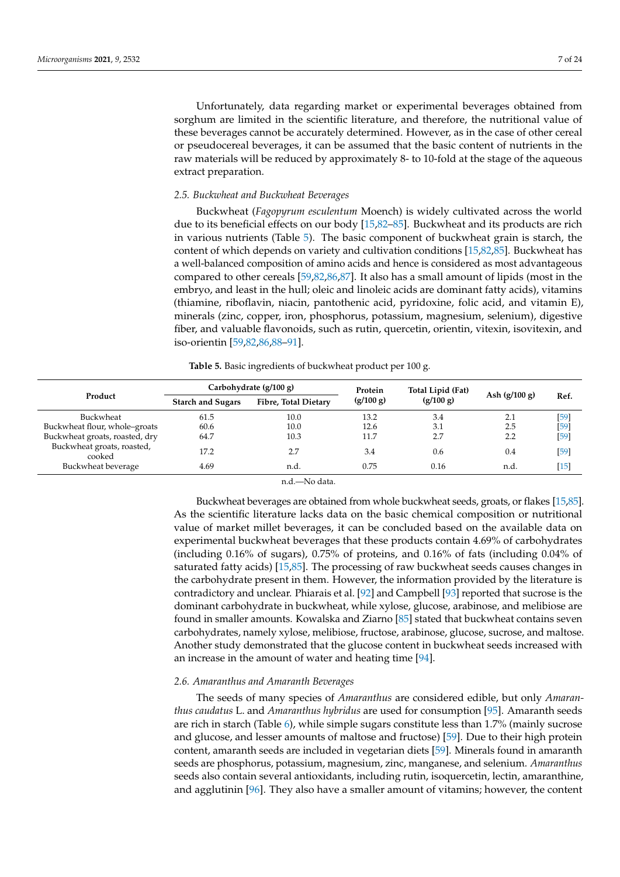Unfortunately, data regarding market or experimental beverages obtained from sorghum are limited in the scientific literature, and therefore, the nutritional value of these beverages cannot be accurately determined. However, as in the case of other cereal or pseudocereal beverages, it can be assumed that the basic content of nutrients in the raw materials will be reduced by approximately 8- to 10-fold at the stage of the aqueous extract preparation.

### *2.5. Buckwheat and Buckwheat Beverages*

Buckwheat (*Fagopyrum esculentum* Moench) is widely cultivated across the world due to its beneficial effects on our body [\[15,](#page-15-9)[82](#page-18-4)[–85\]](#page-18-5). Buckwheat and its products are rich in various nutrients (Table [5\)](#page-6-0). The basic component of buckwheat grain is starch, the content of which depends on variety and cultivation conditions [\[15,](#page-15-9)[82](#page-18-4)[,85\]](#page-18-5). Buckwheat has a well-balanced composition of amino acids and hence is considered as most advantageous compared to other cereals [\[59,](#page-17-10)[82,](#page-18-4)[86,](#page-18-6)[87\]](#page-18-7). It also has a small amount of lipids (most in the embryo, and least in the hull; oleic and linoleic acids are dominant fatty acids), vitamins (thiamine, riboflavin, niacin, pantothenic acid, pyridoxine, folic acid, and vitamin E), minerals (zinc, copper, iron, phosphorus, potassium, magnesium, selenium), digestive fiber, and valuable flavonoids, such as rutin, quercetin, orientin, vitexin, isovitexin, and iso-orientin [\[59,](#page-17-10)[82,](#page-18-4)[86,](#page-18-6)[88](#page-18-8)[–91\]](#page-18-9).

**Table 5.** Basic ingredients of buckwheat product per 100 g.

<span id="page-6-0"></span>

|                                      | Carbohydrate (g/100 g)   |                      | Protein   | Total Lipid (Fat) |                 |        |
|--------------------------------------|--------------------------|----------------------|-----------|-------------------|-----------------|--------|
| Product                              | <b>Starch and Sugars</b> | Fibre, Total Dietary | (g/100 g) | (g/100 g)         | Ash $(g/100 g)$ | Ref.   |
| Buckwheat                            | 61.5                     | 10.0                 | 13.2      | 3.4               | 2.1             | $[59]$ |
| Buckwheat flour, whole-groats        | 60.6                     | 10.0                 | 12.6      | 3.1               | 2.5             | $[59]$ |
| Buckwheat groats, roasted, dry       | 64.7                     | 10.3                 | 11.7      | 2.7               | 2.2             | $[59]$ |
| Buckwheat groats, roasted,<br>cooked | 17.2                     | 2.7                  | 3.4       | 0.6               | 0.4             | [59]   |
| Buckwheat beverage                   | 4.69                     | n.d.                 | 0.75      | 0.16              | n.d.            | $[15]$ |

n.d.—No data.

Buckwheat beverages are obtained from whole buckwheat seeds, groats, or flakes [\[15](#page-15-9)[,85\]](#page-18-5). As the scientific literature lacks data on the basic chemical composition or nutritional value of market millet beverages, it can be concluded based on the available data on experimental buckwheat beverages that these products contain 4.69% of carbohydrates (including 0.16% of sugars), 0.75% of proteins, and 0.16% of fats (including 0.04% of saturated fatty acids) [\[15,](#page-15-9)[85\]](#page-18-5). The processing of raw buckwheat seeds causes changes in the carbohydrate present in them. However, the information provided by the literature is contradictory and unclear. Phiarais et al. [\[92\]](#page-18-10) and Campbell [\[93\]](#page-18-11) reported that sucrose is the dominant carbohydrate in buckwheat, while xylose, glucose, arabinose, and melibiose are found in smaller amounts. Kowalska and Ziarno [\[85\]](#page-18-5) stated that buckwheat contains seven carbohydrates, namely xylose, melibiose, fructose, arabinose, glucose, sucrose, and maltose. Another study demonstrated that the glucose content in buckwheat seeds increased with an increase in the amount of water and heating time [\[94\]](#page-18-12).

## *2.6. Amaranthus and Amaranth Beverages*

The seeds of many species of *Amaranthus* are considered edible, but only *Amaranthus caudatus* L. and *Amaranthus hybridus* are used for consumption [\[95\]](#page-18-13). Amaranth seeds are rich in starch (Table [6\)](#page-7-0), while simple sugars constitute less than 1.7% (mainly sucrose and glucose, and lesser amounts of maltose and fructose) [\[59\]](#page-17-10). Due to their high protein content, amaranth seeds are included in vegetarian diets [\[59\]](#page-17-10). Minerals found in amaranth seeds are phosphorus, potassium, magnesium, zinc, manganese, and selenium. *Amaranthus* seeds also contain several antioxidants, including rutin, isoquercetin, lectin, amaranthine, and agglutinin [\[96\]](#page-18-14). They also have a smaller amount of vitamins; however, the content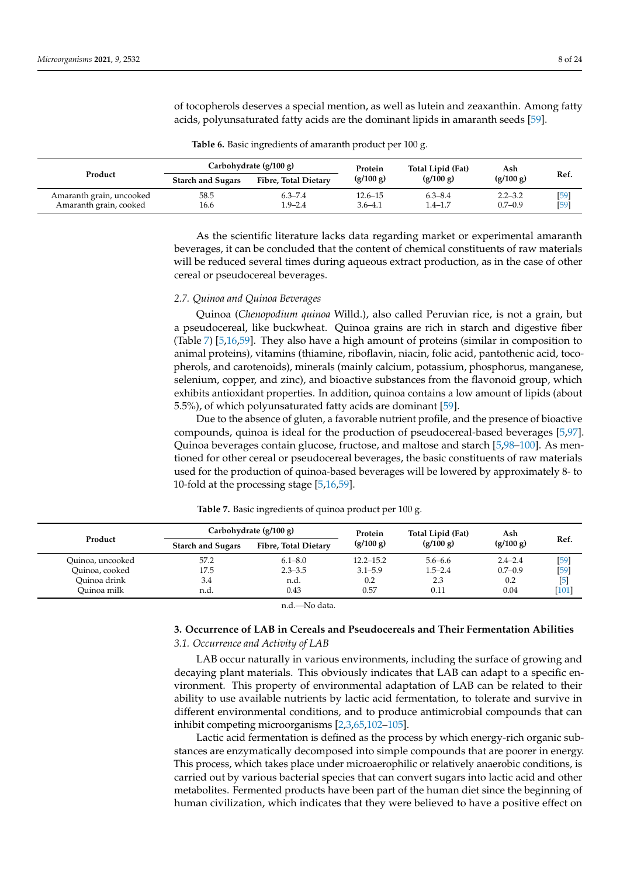Amaranth grain, cooked 16.6

of tocopherols deserves a special mention, as well as lutein and zeaxanthin. Among fatty acids, polyunsaturated fatty acids are the dominant lipids in amaranth seeds [\[59\]](#page-17-10).

<span id="page-7-0"></span>

|         |                          | Carbohydrate (g/100 g)      | Protein   | Total Lipid (Fat) | Ash       |      |
|---------|--------------------------|-----------------------------|-----------|-------------------|-----------|------|
| Product | <b>Starch and Sugars</b> | <b>Fibre, Total Dietary</b> | (g/100 g) | (g/100 g)         | (g/100 g) | Ref. |

Amaranth grain, uncooked 58.5 6.3–7.4 12.6–15 6.3–8.4 2.2–3.2 [\[59\]](#page-17-10)<br>Amaranth grain, cooked 16.6 1.9–2.4 3.6–4.1 1.4–1.7 0.7–0.9 [59]

| Table 6. Basic ingredients of amaranth product per 100 g. |  |  |  |  |  |
|-----------------------------------------------------------|--|--|--|--|--|
|-----------------------------------------------------------|--|--|--|--|--|

As the scientific literature lacks data regarding market or experimental amaranth beverages, it can be concluded that the content of chemical constituents of raw materials will be reduced several times during aqueous extract production, as in the case of other cereal or pseudocereal beverages.

#### *2.7. Quinoa and Quinoa Beverages*

Quinoa (*Chenopodium quinoa* Willd.), also called Peruvian rice, is not a grain, but a pseudocereal, like buckwheat. Quinoa grains are rich in starch and digestive fiber (Table [7\)](#page-7-1) [\[5,](#page-15-2)[16,](#page-15-10)[59\]](#page-17-10). They also have a high amount of proteins (similar in composition to animal proteins), vitamins (thiamine, riboflavin, niacin, folic acid, pantothenic acid, tocopherols, and carotenoids), minerals (mainly calcium, potassium, phosphorus, manganese, selenium, copper, and zinc), and bioactive substances from the flavonoid group, which exhibits antioxidant properties. In addition, quinoa contains a low amount of lipids (about 5.5%), of which polyunsaturated fatty acids are dominant [\[59\]](#page-17-10).

Due to the absence of gluten, a favorable nutrient profile, and the presence of bioactive compounds, quinoa is ideal for the production of pseudocereal-based beverages [\[5,](#page-15-2)[97\]](#page-18-15). Quinoa beverages contain glucose, fructose, and maltose and starch [\[5](#page-15-2)[,98](#page-18-16)[–100\]](#page-18-17). As mentioned for other cereal or pseudocereal beverages, the basic constituents of raw materials used for the production of quinoa-based beverages will be lowered by approximately 8- to 10-fold at the processing stage [\[5](#page-15-2)[,16](#page-15-10)[,59\]](#page-17-10).

<span id="page-7-1"></span>

|                  | Carbohydrate (g/100 g)   |                             | Protein       | Total Lipid (Fat) | Ash         |         |
|------------------|--------------------------|-----------------------------|---------------|-------------------|-------------|---------|
| Product          | <b>Starch and Sugars</b> | <b>Fibre, Total Dietary</b> | (g/100 g)     | (g/100 g)         | (g/100 g)   | Ref.    |
| Ouinoa, uncooked | 57.2                     | $6.1 - 8.0$                 | $12.2 - 15.2$ | $5.6 - 6.6$       | $2.4 - 2.4$ | [59]    |
| Ouinoa, cooked   | 17.5                     | $2.3 - 3.5$                 | $3.1 - 5.9$   | $1.5 - 2.4$       | $0.7 - 0.9$ | [59     |
| Ouinoa drink     | 3.4                      | n.d.                        | 0.2           | 2.3               | 0.2         | [5]     |
| Ouinoa milk      | n.d.                     | 0.43                        | 0.57          | 0.11              | 0.04        | $[101]$ |

**Table 7.** Basic ingredients of quinoa product per 100 g.

n.d.—No data.

# **3. Occurrence of LAB in Cereals and Pseudocereals and Their Fermentation Abilities** *3.1. Occurrence and Activity of LAB*

LAB occur naturally in various environments, including the surface of growing and decaying plant materials. This obviously indicates that LAB can adapt to a specific environment. This property of environmental adaptation of LAB can be related to their ability to use available nutrients by lactic acid fermentation, to tolerate and survive in different environmental conditions, and to produce antimicrobial compounds that can inhibit competing microorganisms [\[2](#page-15-12)[,3](#page-15-11)[,65](#page-17-15)[,102](#page-18-19)[–105\]](#page-19-0).

Lactic acid fermentation is defined as the process by which energy-rich organic substances are enzymatically decomposed into simple compounds that are poorer in energy. This process, which takes place under microaerophilic or relatively anaerobic conditions, is carried out by various bacterial species that can convert sugars into lactic acid and other metabolites. Fermented products have been part of the human diet since the beginning of human civilization, which indicates that they were believed to have a positive effect on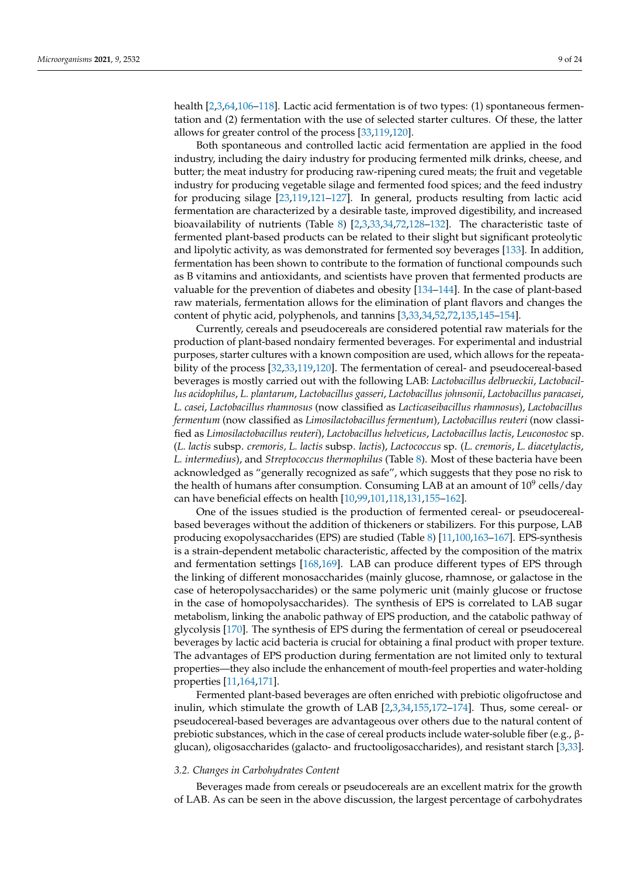health [\[2](#page-15-12)[,3](#page-15-11)[,64](#page-17-14)[,106](#page-19-1)-118]. Lactic acid fermentation is of two types: (1) spontaneous fermentation and (2) fermentation with the use of selected starter cultures. Of these, the latter allows for greater control of the process [\[33](#page-16-16)[,119](#page-19-3)[,120\]](#page-19-4).

Both spontaneous and controlled lactic acid fermentation are applied in the food industry, including the dairy industry for producing fermented milk drinks, cheese, and butter; the meat industry for producing raw-ripening cured meats; the fruit and vegetable industry for producing vegetable silage and fermented food spices; and the feed industry for producing silage [\[23,](#page-16-17)[119,](#page-19-3)[121](#page-19-5)[–127\]](#page-19-6). In general, products resulting from lactic acid fermentation are characterized by a desirable taste, improved digestibility, and increased bioavailability of nutrients (Table [8\)](#page-10-0) [\[2](#page-15-12)[,3](#page-15-11)[,33](#page-16-16)[,34](#page-16-18)[,72](#page-17-22)[,128–](#page-19-7)[132\]](#page-19-8). The characteristic taste of fermented plant-based products can be related to their slight but significant proteolytic and lipolytic activity, as was demonstrated for fermented soy beverages [\[133\]](#page-19-9). In addition, fermentation has been shown to contribute to the formation of functional compounds such as B vitamins and antioxidants, and scientists have proven that fermented products are valuable for the prevention of diabetes and obesity [\[134–](#page-19-10)[144\]](#page-20-0). In the case of plant-based raw materials, fermentation allows for the elimination of plant flavors and changes the content of phytic acid, polyphenols, and tannins [\[3,](#page-15-11)[33,](#page-16-16)[34,](#page-16-18)[52,](#page-17-3)[72](#page-17-22)[,135](#page-20-1)[,145–](#page-20-2)[154\]](#page-20-3).

Currently, cereals and pseudocereals are considered potential raw materials for the production of plant-based nondairy fermented beverages. For experimental and industrial purposes, starter cultures with a known composition are used, which allows for the repeatability of the process [\[32,](#page-16-7)[33,](#page-16-16)[119,](#page-19-3)[120\]](#page-19-4). The fermentation of cereal- and pseudocereal-based beverages is mostly carried out with the following LAB: *Lactobacillus delbrueckii*, *Lactobacillus acidophilus*, *L. plantarum*, *Lactobacillus gasseri*, *Lactobacillus johnsonii*, *Lactobacillus paracasei*, *L. casei*, *Lactobacillus rhamnosus* (now classified as *Lacticaseibacillus rhamnosus*), *Lactobacillus fermentum* (now classified as *Limosilactobacillus fermentum*), *Lactobacillus reuteri* (now classified as *Limosilactobacillus reuteri*), *Lactobacillus helveticus*, *Lactobacillus lactis*, *Leuconostoc* sp. (*L. lactis* subsp. *cremoris, L. lactis* subsp. *lactis*), *Lactococcus* sp. (*L. cremoris*, *L. diacetylactis*, *L. intermedius*), and *Streptococcus thermophilus* (Table [8\)](#page-10-0). Most of these bacteria have been acknowledged as "generally recognized as safe", which suggests that they pose no risk to the health of humans after consumption. Consuming LAB at an amount of  $10^9$  cells/day can have beneficial effects on health [\[10,](#page-15-13)[99,](#page-18-20)[101](#page-18-18)[,118](#page-19-2)[,131](#page-19-11)[,155–](#page-20-4)[162\]](#page-20-5).

One of the issues studied is the production of fermented cereal- or pseudocerealbased beverages without the addition of thickeners or stabilizers. For this purpose, LAB producing exopolysaccharides (EPS) are studied (Table [8\)](#page-10-0) [\[11](#page-15-14)[,100](#page-18-17)[,163](#page-20-6)[–167\]](#page-21-0). EPS-synthesis is a strain-dependent metabolic characteristic, affected by the composition of the matrix and fermentation settings [\[168,](#page-21-1)[169\]](#page-21-2). LAB can produce different types of EPS through the linking of different monosaccharides (mainly glucose, rhamnose, or galactose in the case of heteropolysaccharides) or the same polymeric unit (mainly glucose or fructose in the case of homopolysaccharides). The synthesis of EPS is correlated to LAB sugar metabolism, linking the anabolic pathway of EPS production, and the catabolic pathway of glycolysis [\[170\]](#page-21-3). The synthesis of EPS during the fermentation of cereal or pseudocereal beverages by lactic acid bacteria is crucial for obtaining a final product with proper texture. The advantages of EPS production during fermentation are not limited only to textural properties—they also include the enhancement of mouth-feel properties and water-holding properties [\[11](#page-15-14)[,164,](#page-20-7)[171\]](#page-21-4).

Fermented plant-based beverages are often enriched with prebiotic oligofructose and inulin, which stimulate the growth of LAB [\[2,](#page-15-12)[3,](#page-15-11)[34,](#page-16-18)[155,](#page-20-4)[172–](#page-21-5)[174\]](#page-21-6). Thus, some cereal- or pseudocereal-based beverages are advantageous over others due to the natural content of prebiotic substances, which in the case of cereal products include water-soluble fiber (e.g., βglucan), oligosaccharides (galacto- and fructooligosaccharides), and resistant starch [\[3,](#page-15-11)[33\]](#page-16-16).

### *3.2. Changes in Carbohydrates Content*

Beverages made from cereals or pseudocereals are an excellent matrix for the growth of LAB. As can be seen in the above discussion, the largest percentage of carbohydrates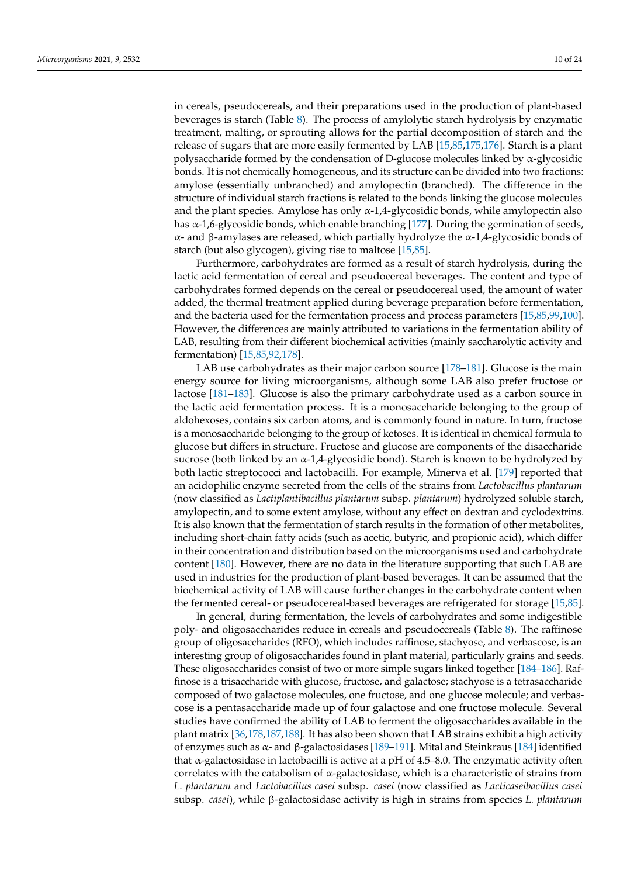in cereals, pseudocereals, and their preparations used in the production of plant-based beverages is starch (Table [8\)](#page-10-0). The process of amylolytic starch hydrolysis by enzymatic treatment, malting, or sprouting allows for the partial decomposition of starch and the release of sugars that are more easily fermented by LAB [\[15,](#page-15-9)[85](#page-18-5)[,175](#page-21-7)[,176\]](#page-21-8). Starch is a plant polysaccharide formed by the condensation of D-glucose molecules linked by α-glycosidic bonds. It is not chemically homogeneous, and its structure can be divided into two fractions: amylose (essentially unbranched) and amylopectin (branched). The difference in the structure of individual starch fractions is related to the bonds linking the glucose molecules and the plant species. Amylose has only  $\alpha$ -1,4-glycosidic bonds, while amylopectin also has  $\alpha$ -1,6-glycosidic bonds, which enable branching [\[177\]](#page-21-9). During the germination of seeds, α- and β-amylases are released, which partially hydrolyze the α-1,4-glycosidic bonds of starch (but also glycogen), giving rise to maltose [\[15](#page-15-9)[,85\]](#page-18-5).

Furthermore, carbohydrates are formed as a result of starch hydrolysis, during the lactic acid fermentation of cereal and pseudocereal beverages. The content and type of carbohydrates formed depends on the cereal or pseudocereal used, the amount of water added, the thermal treatment applied during beverage preparation before fermentation, and the bacteria used for the fermentation process and process parameters [\[15](#page-15-9)[,85,](#page-18-5)[99,](#page-18-20)[100\]](#page-18-17). However, the differences are mainly attributed to variations in the fermentation ability of LAB, resulting from their different biochemical activities (mainly saccharolytic activity and fermentation) [\[15](#page-15-9)[,85](#page-18-5)[,92](#page-18-10)[,178\]](#page-21-10).

LAB use carbohydrates as their major carbon source [\[178–](#page-21-10)[181\]](#page-21-11). Glucose is the main energy source for living microorganisms, although some LAB also prefer fructose or lactose [\[181](#page-21-11)[–183\]](#page-21-12). Glucose is also the primary carbohydrate used as a carbon source in the lactic acid fermentation process. It is a monosaccharide belonging to the group of aldohexoses, contains six carbon atoms, and is commonly found in nature. In turn, fructose is a monosaccharide belonging to the group of ketoses. It is identical in chemical formula to glucose but differs in structure. Fructose and glucose are components of the disaccharide sucrose (both linked by an  $\alpha$ -1,4-glycosidic bond). Starch is known to be hydrolyzed by both lactic streptococci and lactobacilli. For example, Minerva et al. [\[179\]](#page-21-13) reported that an acidophilic enzyme secreted from the cells of the strains from *Lactobacillus plantarum* (now classified as *Lactiplantibacillus plantarum* subsp. *plantarum*) hydrolyzed soluble starch, amylopectin, and to some extent amylose, without any effect on dextran and cyclodextrins. It is also known that the fermentation of starch results in the formation of other metabolites, including short-chain fatty acids (such as acetic, butyric, and propionic acid), which differ in their concentration and distribution based on the microorganisms used and carbohydrate content [\[180\]](#page-21-14). However, there are no data in the literature supporting that such LAB are used in industries for the production of plant-based beverages. It can be assumed that the biochemical activity of LAB will cause further changes in the carbohydrate content when the fermented cereal- or pseudocereal-based beverages are refrigerated for storage [\[15](#page-15-9)[,85\]](#page-18-5).

In general, during fermentation, the levels of carbohydrates and some indigestible poly- and oligosaccharides reduce in cereals and pseudocereals (Table [8\)](#page-10-0). The raffinose group of oligosaccharides (RFO), which includes raffinose, stachyose, and verbascose, is an interesting group of oligosaccharides found in plant material, particularly grains and seeds. These oligosaccharides consist of two or more simple sugars linked together [\[184](#page-21-15)[–186\]](#page-21-16). Raffinose is a trisaccharide with glucose, fructose, and galactose; stachyose is a tetrasaccharide composed of two galactose molecules, one fructose, and one glucose molecule; and verbascose is a pentasaccharide made up of four galactose and one fructose molecule. Several studies have confirmed the ability of LAB to ferment the oligosaccharides available in the plant matrix [\[36](#page-16-14)[,178](#page-21-10)[,187,](#page-21-17)[188\]](#page-21-18). It has also been shown that LAB strains exhibit a high activity of enzymes such as  $\alpha$ - and β-galactosidases [\[189–](#page-21-19)[191\]](#page-21-20). Mital and Steinkraus [\[184\]](#page-21-15) identified that  $\alpha$ -galactosidase in lactobacilli is active at a pH of 4.5–8.0. The enzymatic activity often correlates with the catabolism of  $\alpha$ -galactosidase, which is a characteristic of strains from *L. plantarum* and *Lactobacillus casei* subsp. *casei* (now classified as *Lacticaseibacillus casei* subsp. *casei*), while β-galactosidase activity is high in strains from species *L. plantarum*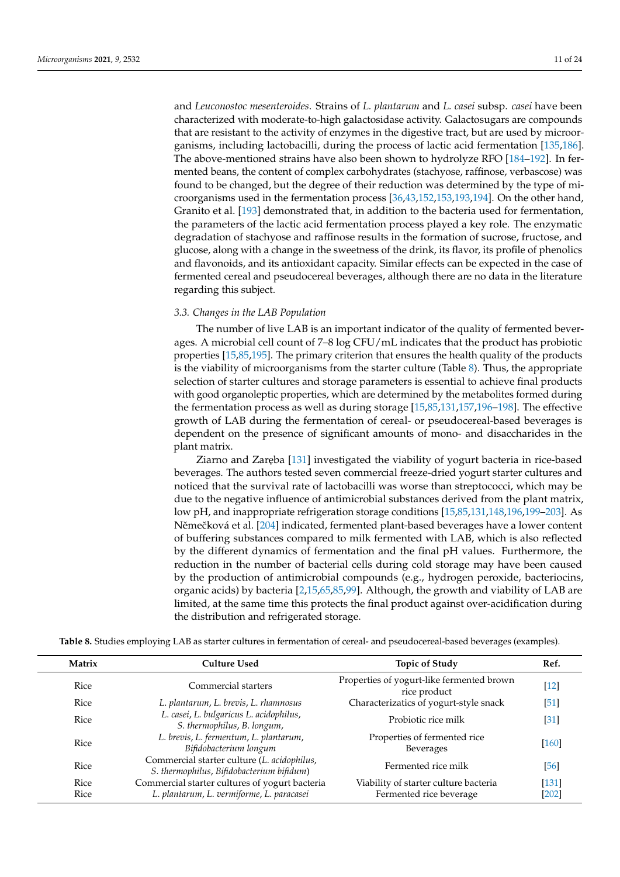and *Leuconostoc mesenteroides*. Strains of *L. plantarum* and *L. casei* subsp. *casei* have been characterized with moderate-to-high galactosidase activity. Galactosugars are compounds that are resistant to the activity of enzymes in the digestive tract, but are used by microorganisms, including lactobacilli, during the process of lactic acid fermentation [\[135,](#page-20-1)[186\]](#page-21-16). The above-mentioned strains have also been shown to hydrolyze RFO [\[184–](#page-21-15)[192\]](#page-22-0). In fermented beans, the content of complex carbohydrates (stachyose, raffinose, verbascose) was found to be changed, but the degree of their reduction was determined by the type of microorganisms used in the fermentation process [\[36](#page-16-14)[,43,](#page-16-19)[152,](#page-20-8)[153,](#page-20-9)[193,](#page-22-1)[194\]](#page-22-2). On the other hand, Granito et al. [\[193\]](#page-22-1) demonstrated that, in addition to the bacteria used for fermentation, the parameters of the lactic acid fermentation process played a key role. The enzymatic degradation of stachyose and raffinose results in the formation of sucrose, fructose, and glucose, along with a change in the sweetness of the drink, its flavor, its profile of phenolics and flavonoids, and its antioxidant capacity. Similar effects can be expected in the case of fermented cereal and pseudocereal beverages, although there are no data in the literature regarding this subject.

# *3.3. Changes in the LAB Population*

The number of live LAB is an important indicator of the quality of fermented beverages. A microbial cell count of 7–8 log CFU/mL indicates that the product has probiotic properties [\[15,](#page-15-9)[85,](#page-18-5)[195\]](#page-22-3). The primary criterion that ensures the health quality of the products is the viability of microorganisms from the starter culture (Table [8\)](#page-10-0). Thus, the appropriate selection of starter cultures and storage parameters is essential to achieve final products with good organoleptic properties, which are determined by the metabolites formed during the fermentation process as well as during storage [\[15,](#page-15-9)[85,](#page-18-5)[131,](#page-19-11)[157](#page-20-10)[,196](#page-22-4)[–198\]](#page-22-5). The effective growth of LAB during the fermentation of cereal- or pseudocereal-based beverages is dependent on the presence of significant amounts of mono- and disaccharides in the plant matrix.

Ziarno and Zaręba [\[131\]](#page-19-11) investigated the viability of yogurt bacteria in rice-based beverages. The authors tested seven commercial freeze-dried yogurt starter cultures and noticed that the survival rate of lactobacilli was worse than streptococci, which may be due to the negative influence of antimicrobial substances derived from the plant matrix, low pH, and inappropriate refrigeration storage conditions [\[15](#page-15-9)[,85](#page-18-5)[,131](#page-19-11)[,148,](#page-20-11)[196,](#page-22-4)[199–](#page-22-6)[203\]](#page-22-7). As Němečková et al. [\[204\]](#page-22-8) indicated, fermented plant-based beverages have a lower content of buffering substances compared to milk fermented with LAB, which is also reflected by the different dynamics of fermentation and the final pH values. Furthermore, the reduction in the number of bacterial cells during cold storage may have been caused by the production of antimicrobial compounds (e.g., hydrogen peroxide, bacteriocins, organic acids) by bacteria [\[2](#page-15-12)[,15](#page-15-9)[,65](#page-17-15)[,85](#page-18-5)[,99\]](#page-18-20). Although, the growth and viability of LAB are limited, at the same time this protects the final product against over-acidification during the distribution and refrigerated storage.

| Matrix       | Culture Used                                                                                | <b>Topic of Study</b>                                            | Ref.               |
|--------------|---------------------------------------------------------------------------------------------|------------------------------------------------------------------|--------------------|
| Rice         | Commercial starters                                                                         | Properties of yogurt-like fermented brown<br>rice product        | $[12]$             |
| Rice         | L. plantarum, L. brevis, L. rhamnosus                                                       | Characterizatics of yogurt-style snack                           | $\left[51\right]$  |
| Rice         | L. casei, L. bulgaricus L. acidophilus,<br>S. thermophilus, B. longum,                      | Probiotic rice milk                                              | $\left[31\right]$  |
| Rice         | L. brevis, L. fermentum, L. plantarum,<br>Bifidobacterium longum                            | Properties of fermented rice<br><b>Beverages</b>                 | [160]              |
| Rice         | Commercial starter culture (L. acidophilus,<br>S. thermophilus, Bifidobacterium bifidum)    | Fermented rice milk                                              | [56]               |
| Rice<br>Rice | Commercial starter cultures of yogurt bacteria<br>L. plantarum, L. vermiforme, L. paracasei | Viability of starter culture bacteria<br>Fermented rice beverage | $[131]$<br>$[202]$ |

<span id="page-10-0"></span>**Table 8.** Studies employing LAB as starter cultures in fermentation of cereal- and pseudocereal-based beverages (examples).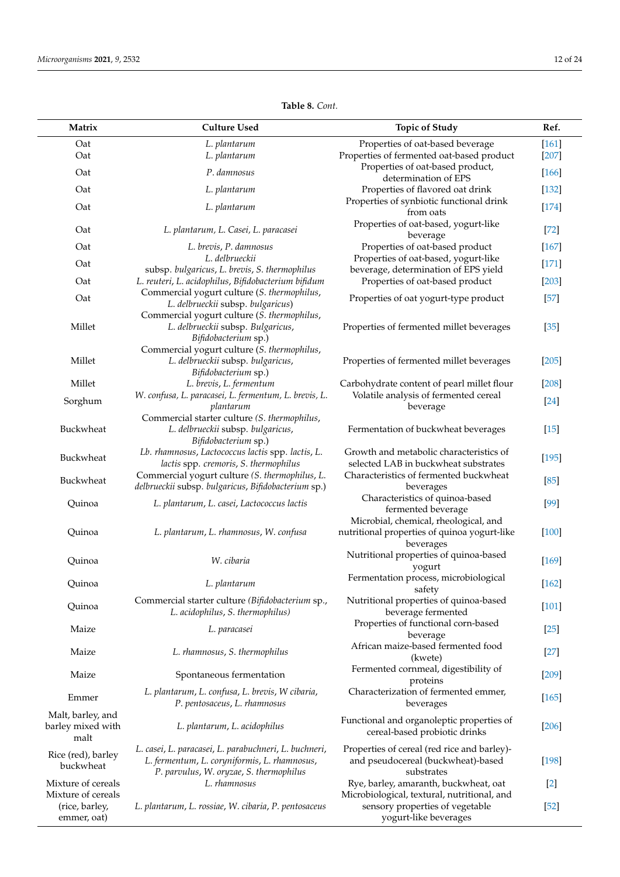| Matrix                                         | <b>Culture Used</b>                                                                                                                              | <b>Topic of Study</b>                                                                              | Ref.    |
|------------------------------------------------|--------------------------------------------------------------------------------------------------------------------------------------------------|----------------------------------------------------------------------------------------------------|---------|
| Oat                                            | L. plantarum                                                                                                                                     | Properties of oat-based beverage                                                                   | $[161]$ |
| Oat                                            | L. plantarum                                                                                                                                     | Properties of fermented oat-based product                                                          | $[207]$ |
|                                                |                                                                                                                                                  | Properties of oat-based product,                                                                   |         |
| Oat                                            | P. damnosus                                                                                                                                      | determination of EPS                                                                               | $[166]$ |
| Oat                                            | L. plantarum                                                                                                                                     | Properties of flavored oat drink                                                                   | $[132]$ |
| Oat                                            | L. plantarum                                                                                                                                     | Properties of synbiotic functional drink<br>from oats                                              | $[174]$ |
| Oat                                            | L. plantarum, L. Casei, L. paracasei                                                                                                             | Properties of oat-based, yogurt-like<br>beverage                                                   | $[72]$  |
| Oat                                            | L. brevis, P. damnosus                                                                                                                           | Properties of oat-based product                                                                    | $[167]$ |
| Oat                                            | L. delbrueckii                                                                                                                                   | Properties of oat-based, yogurt-like                                                               | $[171]$ |
| Oat                                            | subsp. bulgaricus, L. brevis, S. thermophilus<br>L. reuteri, L. acidophilus, Bifidobacterium bifidum                                             | beverage, determination of EPS yield<br>Properties of oat-based product                            | $[203]$ |
|                                                | Commercial yogurt culture (S. thermophilus,                                                                                                      |                                                                                                    |         |
| Oat                                            | L. delbrueckii subsp. bulgaricus)<br>Commercial yogurt culture (S. thermophilus,                                                                 | Properties of oat yogurt-type product                                                              | $[57]$  |
| Millet                                         | L. delbrueckii subsp. Bulgaricus,<br>Bifidobacterium sp.)                                                                                        | Properties of fermented millet beverages                                                           | $[35]$  |
| Millet                                         | Commercial yogurt culture (S. thermophilus,<br>L. delbrueckii subsp. bulgaricus,<br>Bifidobacterium sp.)                                         | Properties of fermented millet beverages                                                           | $[205]$ |
| Millet                                         | L. brevis, L. fermentum                                                                                                                          | Carbohydrate content of pearl millet flour                                                         | [208]   |
| Sorghum                                        | W. confusa, L. paracasei, L. fermentum, L. brevis, L.<br>plantarum                                                                               | Volatile analysis of fermented cereal<br>beverage                                                  | $[24]$  |
| Buckwheat                                      | Commercial starter culture (S. thermophilus,<br>L. delbrueckii subsp. bulgaricus,<br>Bifidobacterium sp.)                                        | Fermentation of buckwheat beverages                                                                | $[15]$  |
| Buckwheat                                      | Lb. rhamnosus, Lactococcus lactis spp. lactis, L.<br>lactis spp. cremoris, S. thermophilus                                                       | Growth and metabolic characteristics of<br>selected LAB in buckwheat substrates                    | $[195]$ |
| Buckwheat                                      | Commercial yogurt culture (S. thermophilus, L.<br>delbrueckii subsp. bulgaricus, Bifidobacterium sp.)                                            | Characteristics of fermented buckwheat<br>beverages                                                | $[85]$  |
| Quinoa                                         | L. plantarum, L. casei, Lactococcus lactis                                                                                                       | Characteristics of quinoa-based<br>fermented beverage                                              | $[99]$  |
| Quinoa                                         | L. plantarum, L. rhamnosus, W. confusa                                                                                                           | Microbial, chemical, rheological, and<br>nutritional properties of quinoa yogurt-like<br>beverages | $[100]$ |
| Quinoa                                         | W. cibaria                                                                                                                                       | Nutritional properties of quinoa-based<br>yogurt                                                   | $[169]$ |
| Quinoa                                         | L. plantarum                                                                                                                                     | Fermentation process, microbiological<br>safety                                                    | $[162]$ |
| Quinoa                                         | Commercial starter culture (Bifidobacterium sp.,<br>L. acidophilus, S. thermophilus)                                                             | Nutritional properties of quinoa-based<br>beverage fermented                                       | $[101]$ |
| Maize                                          | L. paracasei                                                                                                                                     | Properties of functional corn-based<br>beverage                                                    | $[25]$  |
| Maize                                          | L. rhamnosus, S. thermophilus                                                                                                                    | African maize-based fermented food<br>(kwete)                                                      | $[27]$  |
| Maize                                          | Spontaneous fermentation                                                                                                                         | Fermented cornmeal, digestibility of<br>proteins                                                   | $[209]$ |
| Emmer                                          | L. plantarum, L. confusa, L. brevis, W cibaria,<br>P. pentosaceus, L. rhamnosus                                                                  | Characterization of fermented emmer,<br>beverages                                                  | $[165]$ |
| Malt, barley, and<br>barley mixed with<br>malt | L. plantarum, L. acidophilus                                                                                                                     | Functional and organoleptic properties of<br>cereal-based probiotic drinks                         | $[206]$ |
| Rice (red), barley<br>buckwheat                | L. casei, L. paracasei, L. parabuchneri, L. buchneri,<br>L. fermentum, L. coryniformis, L. rhamnosus,<br>P. parvulus, W. oryzae, S. thermophilus | Properties of cereal (red rice and barley)-<br>and pseudocereal (buckwheat)-based<br>substrates    | [198]   |
| Mixture of cereals<br>Mixture of cereals       | L. rhamnosus                                                                                                                                     | Rye, barley, amaranth, buckwheat, oat<br>Microbiological, textural, nutritional, and               | $[2]$   |
| (rice, barley,<br>emmer, oat)                  | L. plantarum, L. rossiae, W. cibaria, P. pentosaceus                                                                                             | sensory properties of vegetable<br>yogurt-like beverages                                           | $[52]$  |

**Table 8.** *Cont.*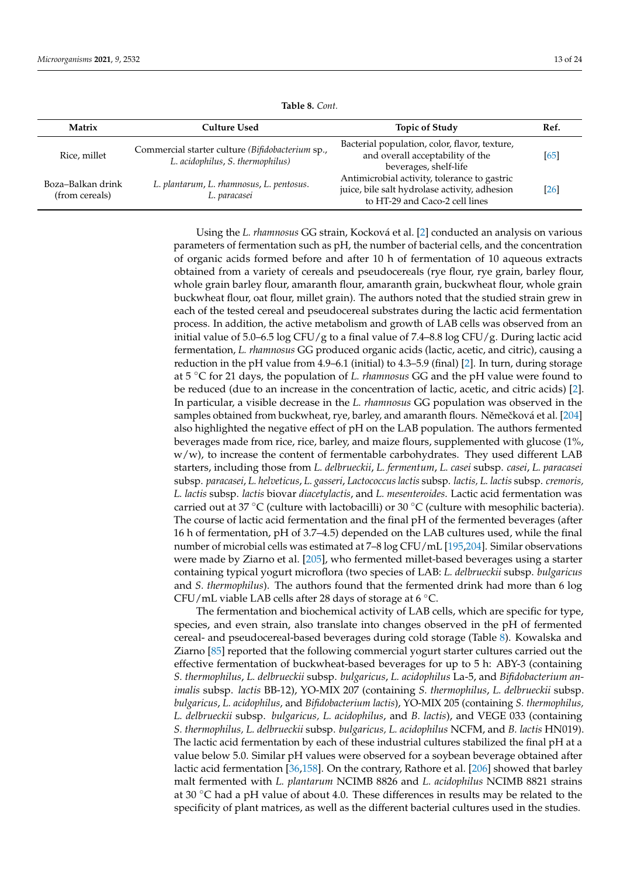| Matrix                              | <b>Culture Used</b>                                                                  | <b>Topic of Study</b>                                                                                                           | Ref. |
|-------------------------------------|--------------------------------------------------------------------------------------|---------------------------------------------------------------------------------------------------------------------------------|------|
| Rice, millet                        | Commercial starter culture (Bifidobacterium sp.,<br>L. acidophilus, S. thermophilus) | Bacterial population, color, flavor, texture,<br>and overall acceptability of the<br>beverages, shelf-life                      | [65] |
| Boza-Balkan drink<br>(from cereals) | L. plantarum, L. rhamnosus, L. pentosus.<br>L. paracasei                             | Antimicrobial activity, tolerance to gastric<br>juice, bile salt hydrolase activity, adhesion<br>to HT-29 and Caco-2 cell lines | [26] |

**Table 8.** *Cont.*

Using the *L. rhamnosus* GG strain, Kocková et al. [\[2\]](#page-15-12) conducted an analysis on various parameters of fermentation such as pH, the number of bacterial cells, and the concentration of organic acids formed before and after 10 h of fermentation of 10 aqueous extracts obtained from a variety of cereals and pseudocereals (rye flour, rye grain, barley flour, whole grain barley flour, amaranth flour, amaranth grain, buckwheat flour, whole grain buckwheat flour, oat flour, millet grain). The authors noted that the studied strain grew in each of the tested cereal and pseudocereal substrates during the lactic acid fermentation process. In addition, the active metabolism and growth of LAB cells was observed from an initial value of 5.0–6.5 log CFU/g to a final value of 7.4–8.8 log CFU/g. During lactic acid fermentation, *L. rhamnosus* GG produced organic acids (lactic, acetic, and citric), causing a reduction in the pH value from 4.9–6.1 (initial) to 4.3–5.9 (final) [\[2\]](#page-15-12). In turn, during storage at 5 ◦C for 21 days, the population of *L. rhamnosus* GG and the pH value were found to be reduced (due to an increase in the concentration of lactic, acetic, and citric acids) [\[2\]](#page-15-12). In particular, a visible decrease in the *L. rhamnosus* GG population was observed in the samples obtained from buckwheat, rye, barley, and amaranth flours. Němečková et al. [\[204\]](#page-22-8) also highlighted the negative effect of pH on the LAB population. The authors fermented beverages made from rice, rice, barley, and maize flours, supplemented with glucose (1%, w/w), to increase the content of fermentable carbohydrates. They used different LAB starters, including those from *L. delbrueckii*, *L. fermentum*, *L. casei* subsp. *casei*, *L. paracasei* subsp. *paracasei*, *L. helveticus*, *L. gasseri*, *Lactococcus lactis* subsp. *lactis, L. lactis* subsp. *cremoris, L. lactis* subsp. *lactis* biovar *diacetylactis*, and *L. mesenteroides*. Lactic acid fermentation was carried out at 37 °C (culture with lactobacilli) or 30 °C (culture with mesophilic bacteria). The course of lactic acid fermentation and the final pH of the fermented beverages (after 16 h of fermentation, pH of 3.7–4.5) depended on the LAB cultures used, while the final number of microbial cells was estimated at 7–8 log CFU/mL [\[195,](#page-22-3)[204\]](#page-22-8). Similar observations were made by Ziarno et al. [\[205\]](#page-22-11), who fermented millet-based beverages using a starter containing typical yogurt microflora (two species of LAB: *L. delbrueckii* subsp. *bulgaricus* and *S. thermophilus*). The authors found that the fermented drink had more than 6 log CFU/mL viable LAB cells after 28 days of storage at 6  $°C$ .

The fermentation and biochemical activity of LAB cells, which are specific for type, species, and even strain, also translate into changes observed in the pH of fermented cereal- and pseudocereal-based beverages during cold storage (Table [8\)](#page-10-0). Kowalska and Ziarno [\[85\]](#page-18-5) reported that the following commercial yogurt starter cultures carried out the effective fermentation of buckwheat-based beverages for up to 5 h: ABY-3 (containing *S. thermophilus*, *L. delbrueckii* subsp. *bulgaricus*, *L. acidophilus* La-5, and *Bifidobacterium animalis* subsp. *lactis* BB-12), YO-MIX 207 (containing *S. thermophilus*, *L. delbrueckii* subsp. *bulgaricus*, *L. acidophilus*, and *Bifidobacterium lactis*), YO-MIX 205 (containing *S. thermophilus, L. delbrueckii* subsp. *bulgaricus, L. acidophilus*, and *B. lactis*), and VEGE 033 (containing *S. thermophilus, L. delbrueckii* subsp. *bulgaricus, L. acidophilus* NCFM, and *B. lactis* HN019). The lactic acid fermentation by each of these industrial cultures stabilized the final pH at a value below 5.0. Similar pH values were observed for a soybean beverage obtained after lactic acid fermentation [\[36,](#page-16-14)[158\]](#page-20-14). On the contrary, Rathore et al. [\[206\]](#page-22-14) showed that barley malt fermented with *L. plantarum* NCIMB 8826 and *L. acidophilus* NCIMB 8821 strains at 30  $\degree$ C had a pH value of about 4.0. These differences in results may be related to the specificity of plant matrices, as well as the different bacterial cultures used in the studies.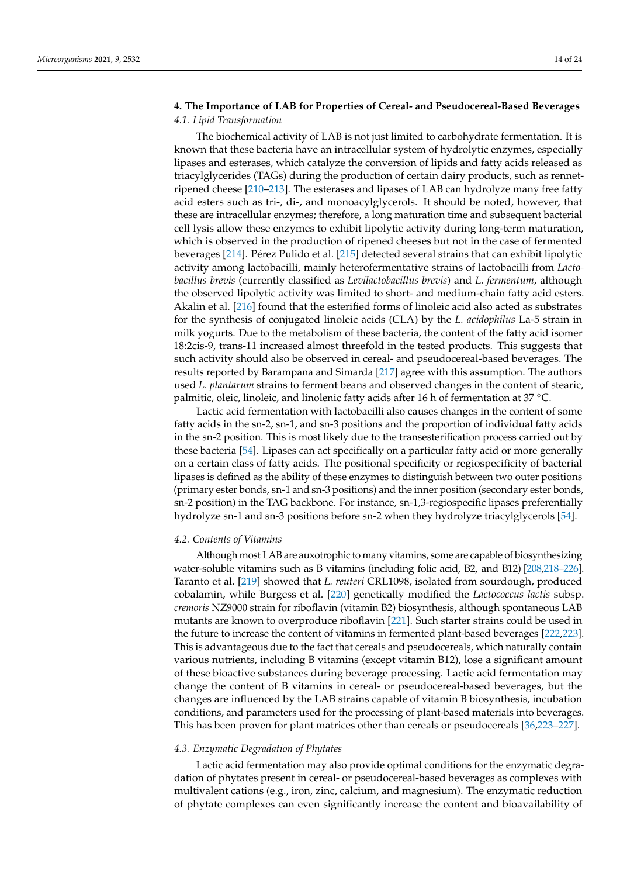# **4. The Importance of LAB for Properties of Cereal- and Pseudocereal-Based Beverages** *4.1. Lipid Transformation*

The biochemical activity of LAB is not just limited to carbohydrate fermentation. It is known that these bacteria have an intracellular system of hydrolytic enzymes, especially lipases and esterases, which catalyze the conversion of lipids and fatty acids released as triacylglycerides (TAGs) during the production of certain dairy products, such as rennetripened cheese [\[210](#page-22-15)[–213\]](#page-22-16). The esterases and lipases of LAB can hydrolyze many free fatty acid esters such as tri-, di-, and monoacylglycerols. It should be noted, however, that these are intracellular enzymes; therefore, a long maturation time and subsequent bacterial cell lysis allow these enzymes to exhibit lipolytic activity during long-term maturation, which is observed in the production of ripened cheeses but not in the case of fermented beverages [\[214\]](#page-22-17). Pérez Pulido et al. [\[215\]](#page-22-18) detected several strains that can exhibit lipolytic activity among lactobacilli, mainly heterofermentative strains of lactobacilli from *Lactobacillus brevis* (currently classified as *Levilactobacillus brevis*) and *L. fermentum*, although the observed lipolytic activity was limited to short- and medium-chain fatty acid esters. Akalin et al. [\[216\]](#page-22-19) found that the esterified forms of linoleic acid also acted as substrates for the synthesis of conjugated linoleic acids (CLA) by the *L. acidophilus* La-5 strain in milk yogurts. Due to the metabolism of these bacteria, the content of the fatty acid isomer 18:2cis-9, trans-11 increased almost threefold in the tested products. This suggests that such activity should also be observed in cereal- and pseudocereal-based beverages. The results reported by Barampana and Simarda [\[217\]](#page-22-20) agree with this assumption. The authors used *L. plantarum* strains to ferment beans and observed changes in the content of stearic, palmitic, oleic, linoleic, and linolenic fatty acids after 16 h of fermentation at 37 ℃.

Lactic acid fermentation with lactobacilli also causes changes in the content of some fatty acids in the sn-2, sn-1, and sn-3 positions and the proportion of individual fatty acids in the sn-2 position. This is most likely due to the transesterification process carried out by these bacteria [\[54\]](#page-17-5). Lipases can act specifically on a particular fatty acid or more generally on a certain class of fatty acids. The positional specificity or regiospecificity of bacterial lipases is defined as the ability of these enzymes to distinguish between two outer positions (primary ester bonds, sn-1 and sn-3 positions) and the inner position (secondary ester bonds, sn-2 position) in the TAG backbone. For instance, sn-1,3-regiospecific lipases preferentially hydrolyze sn-1 and sn-3 positions before sn-2 when they hydrolyze triacylglycerols [\[54\]](#page-17-5).

### *4.2. Contents of Vitamins*

Although most LAB are auxotrophic to many vitamins, some are capable of biosynthesizing water-soluble vitamins such as B vitamins (including folic acid, B2, and B12) [\[208](#page-22-12)[,218](#page-22-21)[–226\]](#page-23-0). Taranto et al. [\[219\]](#page-22-22) showed that *L. reuteri* CRL1098, isolated from sourdough, produced cobalamin, while Burgess et al. [\[220\]](#page-22-23) genetically modified the *Lactococcus lactis* subsp. *cremoris* NZ9000 strain for riboflavin (vitamin B2) biosynthesis, although spontaneous LAB mutants are known to overproduce riboflavin [\[221\]](#page-23-1). Such starter strains could be used in the future to increase the content of vitamins in fermented plant-based beverages [\[222](#page-23-2)[,223\]](#page-23-3). This is advantageous due to the fact that cereals and pseudocereals, which naturally contain various nutrients, including B vitamins (except vitamin B12), lose a significant amount of these bioactive substances during beverage processing. Lactic acid fermentation may change the content of B vitamins in cereal- or pseudocereal-based beverages, but the changes are influenced by the LAB strains capable of vitamin B biosynthesis, incubation conditions, and parameters used for the processing of plant-based materials into beverages. This has been proven for plant matrices other than cereals or pseudocereals [\[36](#page-16-14)[,223](#page-23-3)[–227\]](#page-23-4).

#### *4.3. Enzymatic Degradation of Phytates*

Lactic acid fermentation may also provide optimal conditions for the enzymatic degradation of phytates present in cereal- or pseudocereal-based beverages as complexes with multivalent cations (e.g., iron, zinc, calcium, and magnesium). The enzymatic reduction of phytate complexes can even significantly increase the content and bioavailability of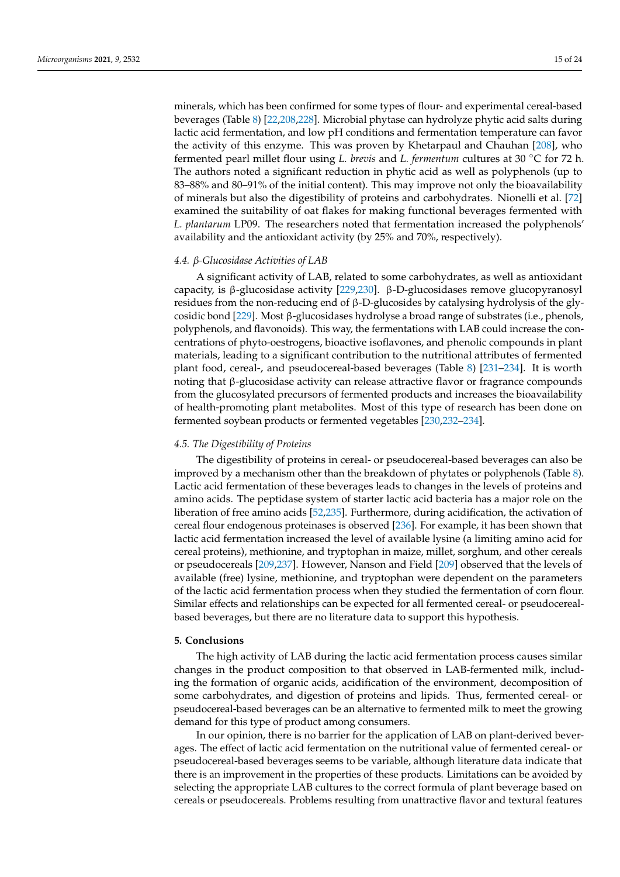minerals, which has been confirmed for some types of flour- and experimental cereal-based beverages (Table [8\)](#page-10-0) [\[22,](#page-16-22)[208,](#page-22-12)[228\]](#page-23-5). Microbial phytase can hydrolyze phytic acid salts during lactic acid fermentation, and low pH conditions and fermentation temperature can favor the activity of this enzyme. This was proven by Khetarpaul and Chauhan [\[208\]](#page-22-12), who fermented pearl millet flour using *L. brevis* and *L. fermentum* cultures at 30 ◦C for 72 h. The authors noted a significant reduction in phytic acid as well as polyphenols (up to 83–88% and 80–91% of the initial content). This may improve not only the bioavailability of minerals but also the digestibility of proteins and carbohydrates. Nionelli et al. [\[72\]](#page-17-22) examined the suitability of oat flakes for making functional beverages fermented with *L. plantarum* LP09. The researchers noted that fermentation increased the polyphenols' availability and the antioxidant activity (by 25% and 70%, respectively).

# *4.4. β-Glucosidase Activities of LAB*

A significant activity of LAB, related to some carbohydrates, as well as antioxidant capacity, is β-glucosidase activity [\[229](#page-23-6)[,230\]](#page-23-7). β-D-glucosidases remove glucopyranosyl residues from the non-reducing end of β-D-glucosides by catalysing hydrolysis of the glycosidic bond [\[229\]](#page-23-6). Most β-glucosidases hydrolyse a broad range of substrates (i.e., phenols, polyphenols, and flavonoids). This way, the fermentations with LAB could increase the concentrations of phyto-oestrogens, bioactive isoflavones, and phenolic compounds in plant materials, leading to a significant contribution to the nutritional attributes of fermented plant food, cereal-, and pseudocereal-based beverages (Table [8\)](#page-10-0) [\[231](#page-23-8)[–234\]](#page-23-9). It is worth noting that β-glucosidase activity can release attractive flavor or fragrance compounds from the glucosylated precursors of fermented products and increases the bioavailability of health-promoting plant metabolites. Most of this type of research has been done on fermented soybean products or fermented vegetables [\[230,](#page-23-7)[232](#page-23-10)[–234\]](#page-23-9).

# *4.5. The Digestibility of Proteins*

The digestibility of proteins in cereal- or pseudocereal-based beverages can also be improved by a mechanism other than the breakdown of phytates or polyphenols (Table [8\)](#page-10-0). Lactic acid fermentation of these beverages leads to changes in the levels of proteins and amino acids. The peptidase system of starter lactic acid bacteria has a major role on the liberation of free amino acids [\[52](#page-17-3)[,235\]](#page-23-11). Furthermore, during acidification, the activation of cereal flour endogenous proteinases is observed [\[236\]](#page-23-12). For example, it has been shown that lactic acid fermentation increased the level of available lysine (a limiting amino acid for cereal proteins), methionine, and tryptophan in maize, millet, sorghum, and other cereals or pseudocereals [\[209](#page-22-13)[,237\]](#page-23-13). However, Nanson and Field [\[209\]](#page-22-13) observed that the levels of available (free) lysine, methionine, and tryptophan were dependent on the parameters of the lactic acid fermentation process when they studied the fermentation of corn flour. Similar effects and relationships can be expected for all fermented cereal- or pseudocerealbased beverages, but there are no literature data to support this hypothesis.

### **5. Conclusions**

The high activity of LAB during the lactic acid fermentation process causes similar changes in the product composition to that observed in LAB-fermented milk, including the formation of organic acids, acidification of the environment, decomposition of some carbohydrates, and digestion of proteins and lipids. Thus, fermented cereal- or pseudocereal-based beverages can be an alternative to fermented milk to meet the growing demand for this type of product among consumers.

In our opinion, there is no barrier for the application of LAB on plant-derived beverages. The effect of lactic acid fermentation on the nutritional value of fermented cereal- or pseudocereal-based beverages seems to be variable, although literature data indicate that there is an improvement in the properties of these products. Limitations can be avoided by selecting the appropriate LAB cultures to the correct formula of plant beverage based on cereals or pseudocereals. Problems resulting from unattractive flavor and textural features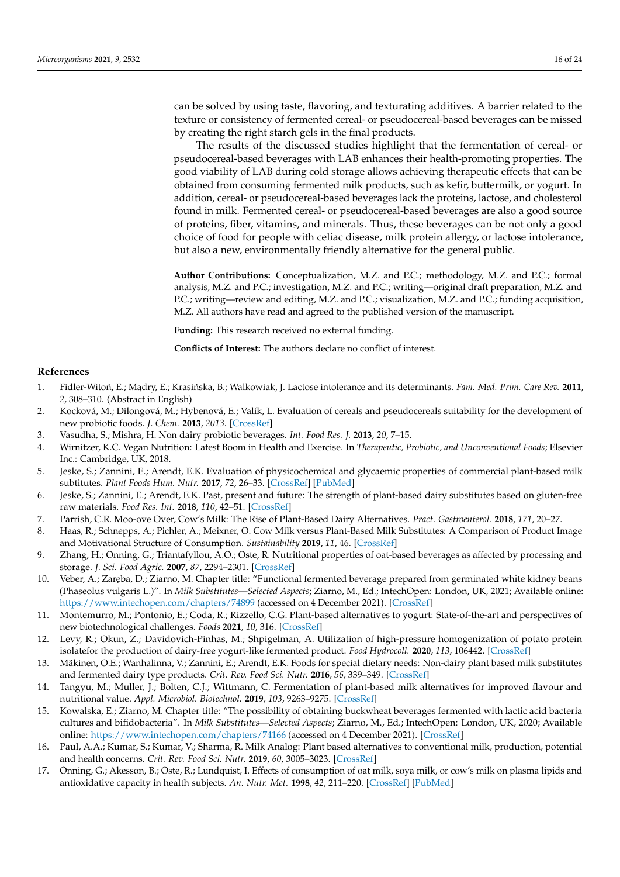can be solved by using taste, flavoring, and texturating additives. A barrier related to the texture or consistency of fermented cereal- or pseudocereal-based beverages can be missed by creating the right starch gels in the final products.

The results of the discussed studies highlight that the fermentation of cereal- or pseudocereal-based beverages with LAB enhances their health-promoting properties. The good viability of LAB during cold storage allows achieving therapeutic effects that can be obtained from consuming fermented milk products, such as kefir, buttermilk, or yogurt. In addition, cereal- or pseudocereal-based beverages lack the proteins, lactose, and cholesterol found in milk. Fermented cereal- or pseudocereal-based beverages are also a good source of proteins, fiber, vitamins, and minerals. Thus, these beverages can be not only a good choice of food for people with celiac disease, milk protein allergy, or lactose intolerance, but also a new, environmentally friendly alternative for the general public.

**Author Contributions:** Conceptualization, M.Z. and P.C.; methodology, M.Z. and P.C.; formal analysis, M.Z. and P.C.; investigation, M.Z. and P.C.; writing—original draft preparation, M.Z. and P.C.; writing—review and editing, M.Z. and P.C.; visualization, M.Z. and P.C.; funding acquisition, M.Z. All authors have read and agreed to the published version of the manuscript.

**Funding:** This research received no external funding.

**Conflicts of Interest:** The authors declare no conflict of interest.

## **References**

- <span id="page-15-0"></span>1. Fidler-Witoń, E.; Madry, E.; Krasińska, B.; Walkowiak, J. Lactose intolerance and its determinants. *Fam. Med. Prim. Care Rev.* 2011, *2*, 308–310. (Abstract in English)
- <span id="page-15-12"></span>2. Kocková, M.; Dilongová, M.; Hybenová, E.; Valík, L. Evaluation of cereals and pseudocereals suitability for the development of new probiotic foods. *J. Chem.* **2013**, *2013*. [\[CrossRef\]](http://doi.org/10.1155/2013/414303)
- <span id="page-15-11"></span>3. Vasudha, S.; Mishra, H. Non dairy probiotic beverages. *Int. Food Res. J.* **2013**, *20*, 7–15.
- <span id="page-15-1"></span>4. Wirnitzer, K.C. Vegan Nutrition: Latest Boom in Health and Exercise. In *Therapeutic, Probiotic, and Unconventional Foods*; Elsevier Inc.: Cambridge, UK, 2018.
- <span id="page-15-2"></span>5. Jeske, S.; Zannini, E.; Arendt, E.K. Evaluation of physicochemical and glycaemic properties of commercial plant-based milk subtitutes. *Plant Foods Hum. Nutr.* **2017**, *72*, 26–33. [\[CrossRef\]](http://doi.org/10.1007/s11130-016-0583-0) [\[PubMed\]](http://www.ncbi.nlm.nih.gov/pubmed/27817089)
- 6. Jeske, S.; Zannini, E.; Arendt, E.K. Past, present and future: The strength of plant-based dairy substitutes based on gluten-free raw materials. *Food Res. Int.* **2018**, *110*, 42–51. [\[CrossRef\]](http://doi.org/10.1016/j.foodres.2017.03.045)
- <span id="page-15-4"></span>7. Parrish, C.R. Moo-ove Over, Cow's Milk: The Rise of Plant-Based Dairy Alternatives. *Pract. Gastroenterol.* **2018**, *171*, 20–27.
- <span id="page-15-3"></span>8. Haas, R.; Schnepps, A.; Pichler, A.; Meixner, O. Cow Milk versus Plant-Based Milk Substitutes: A Comparison of Product Image and Motivational Structure of Consumption. *Sustainability* **2019**, *11*, 46. [\[CrossRef\]](http://doi.org/10.3390/su11185046)
- <span id="page-15-5"></span>9. Zhang, H.; Onning, G.; Triantafyllou, A.O.; Oste, R. Nutritional properties of oat-based beverages as affected by processing and storage. *J. Sci. Food Agric.* **2007**, *87*, 2294–2301. [\[CrossRef\]](http://doi.org/10.1002/jsfa.2987)
- <span id="page-15-13"></span>10. Veber, A.; Zar˛eba, D.; Ziarno, M. Chapter title: "Functional fermented beverage prepared from germinated white kidney beans (Phaseolus vulgaris L.)". In *Milk Substitutes—Selected Aspects*; Ziarno, M., Ed.; IntechOpen: London, UK, 2021; Available online: <https://www.intechopen.com/chapters/74899> (accessed on 4 December 2021). [\[CrossRef\]](http://doi.org/10.5772/intechopen.95818)
- <span id="page-15-14"></span>11. Montemurro, M.; Pontonio, E.; Coda, R.; Rizzello, C.G. Plant-based alternatives to yogurt: State-of-the-art and perspectives of new biotechnological challenges. *Foods* **2021**, *10*, 316. [\[CrossRef\]](http://doi.org/10.3390/foods10020316)
- <span id="page-15-6"></span>12. Levy, R.; Okun, Z.; Davidovich-Pinhas, M.; Shpigelman, A. Utilization of high-pressure homogenization of potato protein isolatefor the production of dairy-free yogurt-like fermented product. *Food Hydrocoll.* **2020**, *113*, 106442. [\[CrossRef\]](http://doi.org/10.1016/j.foodhyd.2020.106442)
- <span id="page-15-7"></span>13. Mäkinen, O.E.; Wanhalinna, V.; Zannini, E.; Arendt, E.K. Foods for special dietary needs: Non-dairy plant based milk substitutes and fermented dairy type products. *Crit. Rev. Food Sci. Nutr.* **2016**, *56*, 339–349. [\[CrossRef\]](http://doi.org/10.1080/10408398.2012.761950)
- <span id="page-15-8"></span>14. Tangyu, M.; Muller, J.; Bolten, C.J.; Wittmann, C. Fermentation of plant-based milk alternatives for improved flavour and nutritional value. *Appl. Microbiol. Biotechnol.* **2019**, *103*, 9263–9275. [\[CrossRef\]](http://doi.org/10.1007/s00253-019-10175-9)
- <span id="page-15-9"></span>15. Kowalska, E.; Ziarno, M. Chapter title: "The possibility of obtaining buckwheat beverages fermented with lactic acid bacteria cultures and bifidobacteria". In *Milk Substitutes—Selected Aspects*; Ziarno, M., Ed.; IntechOpen: London, UK, 2020; Available online: <https://www.intechopen.com/chapters/74166> (accessed on 4 December 2021). [\[CrossRef\]](http://doi.org/10.5772/intechopen.94913)
- <span id="page-15-10"></span>16. Paul, A.A.; Kumar, S.; Kumar, V.; Sharma, R. Milk Analog: Plant based alternatives to conventional milk, production, potential and health concerns. *Crit. Rev. Food Sci. Nutr.* **2019**, *60*, 3005–3023. [\[CrossRef\]](http://doi.org/10.1080/10408398.2019.1674243)
- 17. Onning, G.; Akesson, B.; Oste, R.; Lundquist, I. Effects of consumption of oat milk, soya milk, or cow's milk on plasma lipids and antioxidative capacity in health subjects. *An. Nutr. Met.* **1998**, *42*, 211–220. [\[CrossRef\]](http://doi.org/10.1159/000012736) [\[PubMed\]](http://www.ncbi.nlm.nih.gov/pubmed/9745107)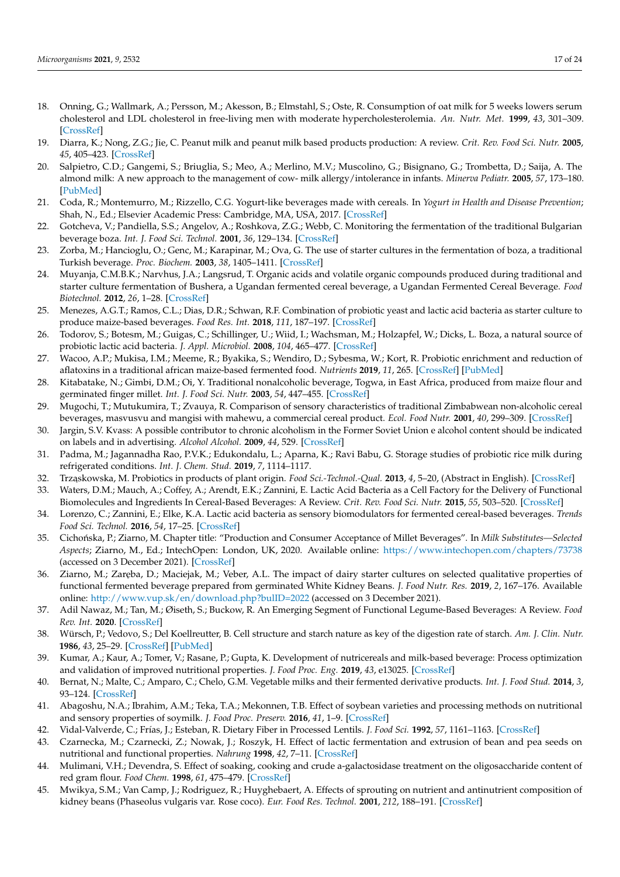- 18. Onning, G.; Wallmark, A.; Persson, M.; Akesson, B.; Elmstahl, S.; Oste, R. Consumption of oat milk for 5 weeks lowers serum cholesterol and LDL cholesterol in free-living men with moderate hypercholesterolemia. *An. Nutr. Met.* **1999**, *43*, 301–309. [\[CrossRef\]](http://doi.org/10.1159/000012798)
- 19. Diarra, K.; Nong, Z.G.; Jie, C. Peanut milk and peanut milk based products production: A review. *Crit. Rev. Food Sci. Nutr.* **2005**, *45*, 405–423. [\[CrossRef\]](http://doi.org/10.1080/10408390590967685)
- <span id="page-16-0"></span>20. Salpietro, C.D.; Gangemi, S.; Briuglia, S.; Meo, A.; Merlino, M.V.; Muscolino, G.; Bisignano, G.; Trombetta, D.; Saija, A. The almond milk: A new approach to the management of cow- milk allergy/intolerance in infants. *Minerva Pediatr.* **2005**, *57*, 173–180. [\[PubMed\]](http://www.ncbi.nlm.nih.gov/pubmed/16172596)
- <span id="page-16-1"></span>21. Coda, R.; Montemurro, M.; Rizzello, C.G. Yogurt-like beverages made with cereals. In *Yogurt in Health and Disease Prevention*; Shah, N., Ed.; Elsevier Academic Press: Cambridge, MA, USA, 2017. [\[CrossRef\]](http://doi.org/10.1016/b978-0-12-805134-4.00010-9)
- <span id="page-16-22"></span>22. Gotcheva, V.; Pandiella, S.S.; Angelov, A.; Roshkova, Z.G.; Webb, C. Monitoring the fermentation of the traditional Bulgarian beverage boza. *Int. J. Food Sci. Technol.* **2001**, *36*, 129–134. [\[CrossRef\]](http://doi.org/10.1046/j.1365-2621.2001.00429.x)
- <span id="page-16-17"></span>23. Zorba, M.; Hancioglu, O.; Genc, M.; Karapinar, M.; Ova, G. The use of starter cultures in the fermentation of boza, a traditional Turkish beverage. *Proc. Biochem.* **2003**, *38*, 1405–1411. [\[CrossRef\]](http://doi.org/10.1016/S0032-9592(03)00033-5)
- <span id="page-16-20"></span>24. Muyanja, C.M.B.K.; Narvhus, J.A.; Langsrud, T. Organic acids and volatile organic compounds produced during traditional and starter culture fermentation of Bushera, a Ugandan fermented cereal beverage, a Ugandan Fermented Cereal Beverage. *Food Biotechnol.* **2012**, *26*, 1–28. [\[CrossRef\]](http://doi.org/10.1080/08905436.2011.617252)
- <span id="page-16-21"></span>25. Menezes, A.G.T.; Ramos, C.L.; Dias, D.R.; Schwan, R.F. Combination of probiotic yeast and lactic acid bacteria as starter culture to produce maize-based beverages. *Food Res. Int.* **2018**, *111*, 187–197. [\[CrossRef\]](http://doi.org/10.1016/j.foodres.2018.04.065)
- <span id="page-16-2"></span>26. Todorov, S.; Botesm, M.; Guigas, C.; Schillinger, U.; Wiid, I.; Wachsman, M.; Holzapfel, W.; Dicks, L. Boza, a natural source of probiotic lactic acid bacteria. *J. Appl. Microbiol.* **2008**, *104*, 465–477. [\[CrossRef\]](http://doi.org/10.1111/j.1365-2672.2007.03558.x)
- <span id="page-16-3"></span>27. Wacoo, A.P.; Mukisa, I.M.; Meeme, R.; Byakika, S.; Wendiro, D.; Sybesma, W.; Kort, R. Probiotic enrichment and reduction of aflatoxins in a traditional african maize-based fermented food. *Nutrients* **2019**, *11*, 265. [\[CrossRef\]](http://doi.org/10.3390/nu11020265) [\[PubMed\]](http://www.ncbi.nlm.nih.gov/pubmed/30691002)
- <span id="page-16-4"></span>28. Kitabatake, N.; Gimbi, D.M.; Oi, Y. Traditional nonalcoholic beverage, Togwa, in East Africa, produced from maize flour and germinated finger millet. *Int. J. Food Sci. Nutr.* **2003**, *54*, 447–455. [\[CrossRef\]](http://doi.org/10.1080/09637480120092053)
- 29. Mugochi, T.; Mutukumira, T.; Zvauya, R. Comparison of sensory characteristics of traditional Zimbabwean non-alcoholic cereal beverages, masvusvu and mangisi with mahewu, a commercial cereal product. *Ecol. Food Nutr.* **2001**, *40*, 299–309. [\[CrossRef\]](http://doi.org/10.1080/03670244.2001.9991655)
- <span id="page-16-5"></span>30. Jargin, S.V. Kvass: A possible contributor to chronic alcoholism in the Former Soviet Union e alcohol content should be indicated on labels and in advertising. *Alcohol Alcohol.* **2009**, *44*, 529. [\[CrossRef\]](http://doi.org/10.1093/alcalc/agp055)
- <span id="page-16-6"></span>31. Padma, M.; Jagannadha Rao, P.V.K.; Edukondalu, L.; Aparna, K.; Ravi Babu, G. Storage studies of probiotic rice milk during refrigerated conditions. *Int. J. Chem. Stud.* **2019**, *7*, 1114–1117.
- <span id="page-16-7"></span>32. Trząskowska, M. Probiotics in products of plant origin. *Food Sci.-Technol.-Qual.* 2013, 4, 5–20, (Abstract in English). [\[CrossRef\]](http://doi.org/10.15193/zntj/2013/89/005-020)
- <span id="page-16-16"></span>33. Waters, D.M.; Mauch, A.; Coffey, A.; Arendt, E.K.; Zannini, E. Lactic Acid Bacteria as a Cell Factory for the Delivery of Functional Biomolecules and Ingredients In Cereal-Based Beverages: A Review. *Crit. Rev. Food Sci. Nutr.* **2015**, *55*, 503–520. [\[CrossRef\]](http://doi.org/10.1080/10408398.2012.660251)
- <span id="page-16-18"></span>34. Lorenzo, C.; Zannini, E.; Elke, K.A. Lactic acid bacteria as sensory biomodulators for fermented cereal-based beverages. *Trends Food Sci. Technol.* **2016**, *54*, 17–25. [\[CrossRef\]](http://doi.org/10.1016/j.tifs.2016.05.009)
- <span id="page-16-8"></span>35. Cicho ´nska, P.; Ziarno, M. Chapter title: "Production and Consumer Acceptance of Millet Beverages". In *Milk Substitutes—Selected Aspects*; Ziarno, M., Ed.; IntechOpen: London, UK, 2020. Available online: <https://www.intechopen.com/chapters/73738> (accessed on 3 December 2021). [\[CrossRef\]](http://doi.org/10.5772/intechopen.94304)
- <span id="page-16-14"></span>36. Ziarno, M.; Zar˛eba, D.; Maciejak, M.; Veber, A.L. The impact of dairy starter cultures on selected qualitative properties of functional fermented beverage prepared from germinated White Kidney Beans. *J. Food Nutr. Res.* **2019**, *2*, 167–176. Available online: <http://www.vup.sk/en/download.php?bulID=2022> (accessed on 3 December 2021).
- <span id="page-16-9"></span>37. Adil Nawaz, M.; Tan, M.; Øiseth, S.; Buckow, R. An Emerging Segment of Functional Legume-Based Beverages: A Review. *Food Rev. Int.* **2020**. [\[CrossRef\]](http://doi.org/10.1080/87559129.2020.1762641)
- <span id="page-16-10"></span>38. Würsch, P.; Vedovo, S.; Del Koellreutter, B. Cell structure and starch nature as key of the digestion rate of starch. *Am. J. Clin. Nutr.* **1986**, *43*, 25–29. [\[CrossRef\]](http://doi.org/10.1093/ajcn/43.1.25) [\[PubMed\]](http://www.ncbi.nlm.nih.gov/pubmed/3484604)
- <span id="page-16-11"></span>39. Kumar, A.; Kaur, A.; Tomer, V.; Rasane, P.; Gupta, K. Development of nutricereals and milk-based beverage: Process optimization and validation of improved nutritional properties. *J. Food Proc. Eng.* **2019**, *43*, e13025. [\[CrossRef\]](http://doi.org/10.1111/jfpe.13025)
- <span id="page-16-12"></span>40. Bernat, N.; Malte, C.; Amparo, C.; Chelo, G.M. Vegetable milks and their fermented derivative products. *Int. J. Food Stud.* **2014**, *3*, 93–124. [\[CrossRef\]](http://doi.org/10.7455/ijfs/3.1.2014.a9)
- <span id="page-16-13"></span>41. Abagoshu, N.A.; Ibrahim, A.M.; Teka, T.A.; Mekonnen, T.B. Effect of soybean varieties and processing methods on nutritional and sensory properties of soymilk. *J. Food Proc. Preserv.* **2016**, *41*, 1–9. [\[CrossRef\]](http://doi.org/10.1111/jfpp.13014)
- <span id="page-16-15"></span>42. Vidal-Valverde, C.; Frías, J.; Esteban, R. Dietary Fiber in Processed Lentils. *J. Food Sci.* **1992**, *57*, 1161–1163. [\[CrossRef\]](http://doi.org/10.1111/j.1365-2621.1992.tb11288.x)
- <span id="page-16-19"></span>43. Czarnecka, M.; Czarnecki, Z.; Nowak, J.; Roszyk, H. Effect of lactic fermentation and extrusion of bean and pea seeds on nutritional and functional properties. *Nahrung* **1998**, *42*, 7–11. [\[CrossRef\]](http://doi.org/10.1002/(SICI)1521-3803(199802)42:01<7::AID-FOOD7>3.3.CO;2-9)
- 44. Mulimani, V.H.; Devendra, S. Effect of soaking, cooking and crude a-galactosidase treatment on the oligosaccharide content of red gram flour. *Food Chem.* **1998**, *61*, 475–479. [\[CrossRef\]](http://doi.org/10.1016/S0308-8146(97)00142-8)
- 45. Mwikya, S.M.; Van Camp, J.; Rodriguez, R.; Huyghebaert, A. Effects of sprouting on nutrient and antinutrient composition of kidney beans (Phaseolus vulgaris var. Rose coco). *Eur. Food Res. Technol.* **2001**, *212*, 188–191. [\[CrossRef\]](http://doi.org/10.1007/s002170000200)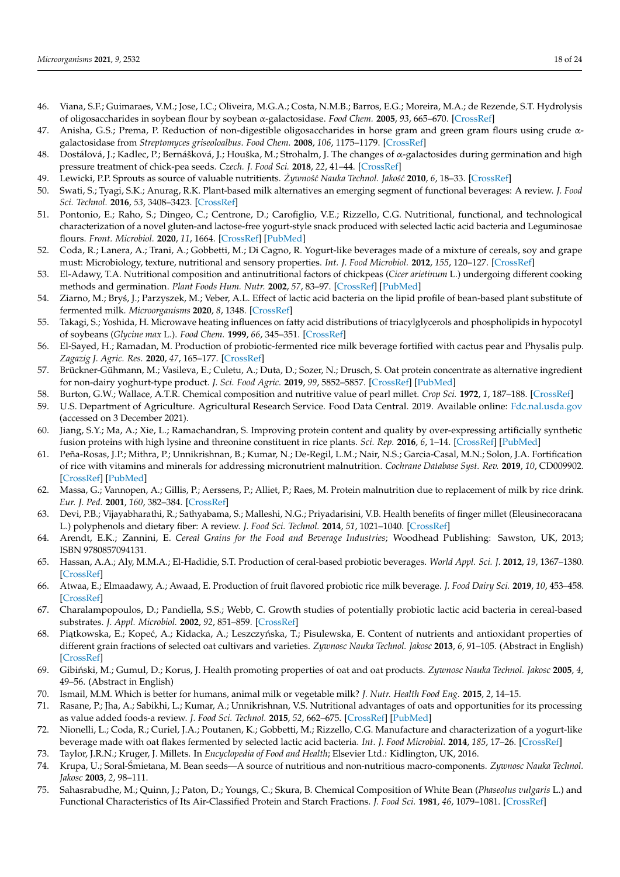- 46. Viana, S.F.; Guimaraes, V.M.; Jose, I.C.; Oliveira, M.G.A.; Costa, N.M.B.; Barros, E.G.; Moreira, M.A.; de Rezende, S.T. Hydrolysis of oligosaccharides in soybean flour by soybean α-galactosidase. *Food Chem.* **2005**, *93*, 665–670. [\[CrossRef\]](http://doi.org/10.1016/j.foodchem.2004.09.045)
- 47. Anisha, G.S.; Prema, P. Reduction of non-digestible oligosaccharides in horse gram and green gram flours using crude αgalactosidase from *Streptomyces griseoloalbus*. *Food Chem.* **2008**, *106*, 1175–1179. [\[CrossRef\]](http://doi.org/10.1016/j.foodchem.2007.07.058)
- 48. Dostálová, J.; Kadlec, P.; Bernášková, J.; Houška, M.; Strohalm, J. The changes of α-galactosides during germination and high pressure treatment of chick-pea seeds. *Czech. J. Food Sci.* **2018**, *22*, 41–44. [\[CrossRef\]](http://doi.org/10.17221/10608-CJFS)
- <span id="page-17-0"></span>49. Lewicki, P.P. Sprouts as source of valuable nutritients.  $\dot{Z}$ ywność Nauka Technol. Jakość 2010, 6, 18–33. [\[CrossRef\]](http://doi.org/10.15193/zntj/2010/73/018-033)
- <span id="page-17-1"></span>50. Swati, S.; Tyagi, S.K.; Anurag, R.K. Plant-based milk alternatives an emerging segment of functional beverages: A review. *J. Food Sci. Technol.* **2016**, *53*, 3408–3423. [\[CrossRef\]](http://doi.org/10.1007/s13197-016-2328-3)
- <span id="page-17-2"></span>51. Pontonio, E.; Raho, S.; Dingeo, C.; Centrone, D.; Carofiglio, V.E.; Rizzello, C.G. Nutritional, functional, and technological characterization of a novel gluten-and lactose-free yogurt-style snack produced with selected lactic acid bacteria and Leguminosae flours. *Front. Microbiol.* **2020**, *11*, 1664. [\[CrossRef\]](http://doi.org/10.3389/fmicb.2020.01664) [\[PubMed\]](http://www.ncbi.nlm.nih.gov/pubmed/32765471)
- <span id="page-17-3"></span>52. Coda, R.; Lanera, A.; Trani, A.; Gobbetti, M.; Di Cagno, R. Yogurt-like beverages made of a mixture of cereals, soy and grape must: Microbiology, texture, nutritional and sensory properties. *Int. J. Food Microbiol.* **2012**, *155*, 120–127. [\[CrossRef\]](http://doi.org/10.1016/j.ijfoodmicro.2012.01.016)
- <span id="page-17-4"></span>53. El-Adawy, T.A. Nutritional composition and antinutritional factors of chickpeas (*Cicer arietinum* L.) undergoing different cooking methods and germination. *Plant Foods Hum. Nutr.* **2002**, *57*, 83–97. [\[CrossRef\]](http://doi.org/10.1023/A:1013189620528) [\[PubMed\]](http://www.ncbi.nlm.nih.gov/pubmed/11855623)
- <span id="page-17-5"></span>54. Ziarno, M.; Bryś, J.; Parzyszek, M.; Veber, A.L. Effect of lactic acid bacteria on the lipid profile of bean-based plant substitute of fermented milk. *Microorganisms* **2020**, *8*, 1348. [\[CrossRef\]](http://doi.org/10.3390/microorganisms8091348)
- <span id="page-17-6"></span>55. Takagi, S.; Yoshida, H. Microwave heating influences on fatty acid distributions of triacylglycerols and phospholipids in hypocotyl of soybeans (*Glycine max* L.). *Food Chem.* **1999**, *66*, 345–351. [\[CrossRef\]](http://doi.org/10.1016/S0308-8146(99)00072-2)
- <span id="page-17-7"></span>56. El-Sayed, H.; Ramadan, M. Production of probiotic-fermented rice milk beverage fortified with cactus pear and Physalis pulp. *Zagazig J. Agric. Res.* **2020**, *47*, 165–177. [\[CrossRef\]](http://doi.org/10.21608/zjar.2020.70239)
- <span id="page-17-8"></span>57. Brückner-Gühmann, M.; Vasileva, E.; Culetu, A.; Duta, D.; Sozer, N.; Drusch, S. Oat protein concentrate as alternative ingredient for non-dairy yoghurt-type product. *J. Sci. Food Agric.* **2019**, *99*, 5852–5857. [\[CrossRef\]](http://doi.org/10.1002/jsfa.9858) [\[PubMed\]](http://www.ncbi.nlm.nih.gov/pubmed/31206178)
- <span id="page-17-9"></span>58. Burton, G.W.; Wallace, A.T.R. Chemical composition and nutritive value of pearl millet. *Crop Sci.* **1972**, *1*, 187–188. [\[CrossRef\]](http://doi.org/10.2135/cropsci1972.0011183X001200020009x)
- <span id="page-17-10"></span>59. U.S. Department of Agriculture. Agricultural Research Service. Food Data Central. 2019. Available online: <Fdc.nal.usda.gov> (accessed on 3 December 2021).
- <span id="page-17-11"></span>60. Jiang, S.Y.; Ma, A.; Xie, L.; Ramachandran, S. Improving protein content and quality by over-expressing artificially synthetic fusion proteins with high lysine and threonine constituent in rice plants. *Sci. Rep.* **2016**, *6*, 1–14. [\[CrossRef\]](http://doi.org/10.1038/srep34427) [\[PubMed\]](http://www.ncbi.nlm.nih.gov/pubmed/27677708)
- <span id="page-17-12"></span>61. Peña-Rosas, J.P.; Mithra, P.; Unnikrishnan, B.; Kumar, N.; De-Regil, L.M.; Nair, N.S.; Garcia-Casal, M.N.; Solon, J.A. Fortification of rice with vitamins and minerals for addressing micronutrient malnutrition. *Cochrane Database Syst. Rev.* **2019**, *10*, CD009902. [\[CrossRef\]](http://doi.org/10.1002/14651858.CD009902.pub2) [\[PubMed\]](http://www.ncbi.nlm.nih.gov/pubmed/31684687)
- 62. Massa, G.; Vannopen, A.; Gillis, P.; Aerssens, P.; Alliet, P.; Raes, M. Protein malnutrition due to replacement of milk by rice drink. *Eur. J. Ped.* **2001**, *160*, 382–384. [\[CrossRef\]](http://doi.org/10.1007/s004310100746)
- <span id="page-17-13"></span>63. Devi, P.B.; Vijayabharathi, R.; Sathyabama, S.; Malleshi, N.G.; Priyadarisini, V.B. Health benefits of finger millet (Eleusinecoracana L.) polyphenols and dietary fiber: A review. *J. Food Sci. Technol.* **2014**, *51*, 1021–1040. [\[CrossRef\]](http://doi.org/10.1007/s13197-011-0584-9)
- <span id="page-17-14"></span>64. Arendt, E.K.; Zannini, E. *Cereal Grains for the Food and Beverage Industries*; Woodhead Publishing: Sawston, UK, 2013; ISBN 9780857094131.
- <span id="page-17-15"></span>65. Hassan, A.A.; Aly, M.M.A.; El-Hadidie, S.T. Production of ceral-based probiotic beverages. *World Appl. Sci. J.* **2012**, *19*, 1367–1380. [\[CrossRef\]](http://doi.org/10.5829/idosi.wasj.2012.19.10.2797)
- <span id="page-17-16"></span>66. Atwaa, E.; Elmaadawy, A.; Awaad, E. Production of fruit flavored probiotic rice milk beverage. *J. Food Dairy Sci.* **2019**, *10*, 453–458. [\[CrossRef\]](http://doi.org/10.21608/jfds.2019.71360)
- <span id="page-17-17"></span>67. Charalampopoulos, D.; Pandiella, S.S.; Webb, C. Growth studies of potentially probiotic lactic acid bacteria in cereal-based substrates. *J. Appl. Microbiol.* **2002**, *92*, 851–859. [\[CrossRef\]](http://doi.org/10.1046/j.1365-2672.2002.01592.x)
- <span id="page-17-18"></span>68. Piatkowska, E.; Kopeć, A.; Kidacka, A.; Leszczyńska, T.; Pisulewska, E. Content of nutrients and antioxidant properties of different grain fractions of selected oat cultivars and varieties. *Zywnosc Nauka Technol. Jakosc* **2013**, *6*, 91–105. (Abstract in English) [\[CrossRef\]](http://doi.org/10.15193/zntj/2013/91/091-105)
- <span id="page-17-19"></span>69. Gibi ´nski, M.; Gumul, D.; Korus, J. Health promoting properties of oat and oat products. *Zywnosc Nauka Technol. Jakosc* **2005**, *4*, 49–56. (Abstract in English)
- <span id="page-17-20"></span>70. Ismail, M.M. Which is better for humans, animal milk or vegetable milk? *J. Nutr. Health Food Eng.* **2015**, *2*, 14–15.
- <span id="page-17-21"></span>71. Rasane, P.; Jha, A.; Sabikhi, L.; Kumar, A.; Unnikrishnan, V.S. Nutritional advantages of oats and opportunities for its processing as value added foods-a review. *J. Food Sci. Technol.* **2015**, *52*, 662–675. [\[CrossRef\]](http://doi.org/10.1007/s13197-013-1072-1) [\[PubMed\]](http://www.ncbi.nlm.nih.gov/pubmed/25694675)
- <span id="page-17-22"></span>72. Nionelli, L.; Coda, R.; Curiel, J.A.; Poutanen, K.; Gobbetti, M.; Rizzello, C.G. Manufacture and characterization of a yogurt-like beverage made with oat flakes fermented by selected lactic acid bacteria. *Int. J. Food Microbial.* **2014**, *185*, 17–26. [\[CrossRef\]](http://doi.org/10.1016/j.ijfoodmicro.2014.05.004)
- <span id="page-17-23"></span>73. Taylor, J.R.N.; Kruger, J. Millets. In *Encyclopedia of Food and Health*; Elsevier Ltd.: Kidlington, UK, 2016.
- <span id="page-17-24"></span>74. Krupa, U.; Soral-Śmietana, M. Bean seeds—A source of nutritious and non-nutritious macro-components. Zywnosc Nauka Technol. *Jakosc* **2003**, *2*, 98–111.
- <span id="page-17-25"></span>75. Sahasrabudhe, M.; Quinn, J.; Paton, D.; Youngs, C.; Skura, B. Chemical Composition of White Bean (*Phaseolus vulgaris* L.) and Functional Characteristics of Its Air-Classified Protein and Starch Fractions. *J. Food Sci.* **1981**, *46*, 1079–1081. [\[CrossRef\]](http://doi.org/10.1111/j.1365-2621.1981.tb02995.x)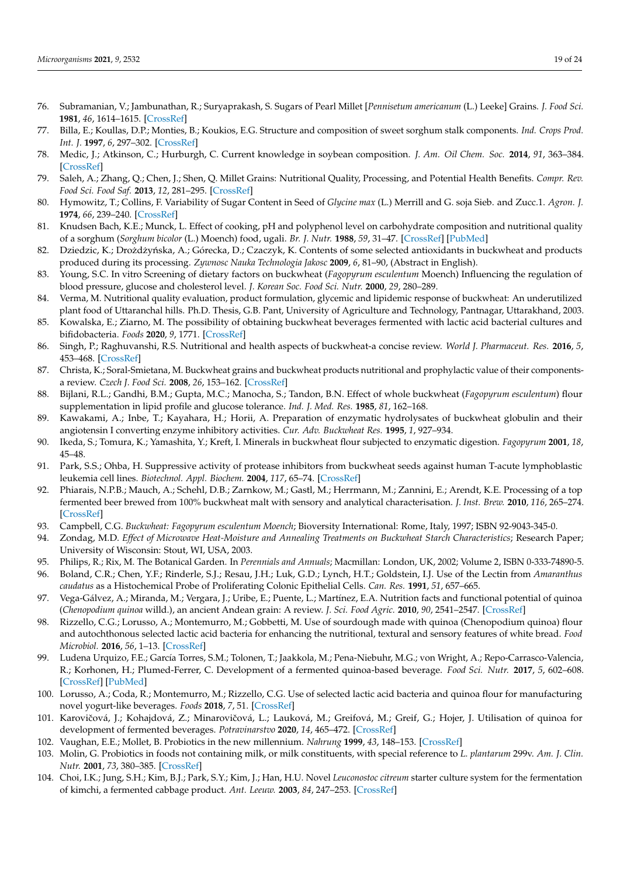- 76. Subramanian, V.; Jambunathan, R.; Suryaprakash, S. Sugars of Pearl Millet [*Pennisetum americanum* (L.) Leeke] Grains. *J. Food Sci.* **1981**, *46*, 1614–1615. [\[CrossRef\]](http://doi.org/10.1111/j.1365-2621.1981.tb04232.x)
- 77. Billa, E.; Koullas, D.P.; Monties, B.; Koukios, E.G. Structure and composition of sweet sorghum stalk components. *Ind. Crops Prod. Int. J.* **1997**, *6*, 297–302. [\[CrossRef\]](http://doi.org/10.1016/S0926-6690(97)00031-9)
- <span id="page-18-0"></span>78. Medic, J.; Atkinson, C.; Hurburgh, C. Current knowledge in soybean composition. *J. Am. Oil Chem. Soc.* **2014**, *91*, 363–384. [\[CrossRef\]](http://doi.org/10.1007/s11746-013-2407-9)
- <span id="page-18-1"></span>79. Saleh, A.; Zhang, Q.; Chen, J.; Shen, Q. Millet Grains: Nutritional Quality, Processing, and Potential Health Benefits. *Compr. Rev. Food Sci. Food Saf.* **2013**, *12*, 281–295. [\[CrossRef\]](http://doi.org/10.1111/1541-4337.12012)
- <span id="page-18-2"></span>80. Hymowitz, T.; Collins, F. Variability of Sugar Content in Seed of *Glycine max* (L.) Merrill and G. soja Sieb. and Zucc.1. *Agron. J.* **1974**, *66*, 239–240. [\[CrossRef\]](http://doi.org/10.2134/agronj1974.00021962006600020017x)
- <span id="page-18-3"></span>81. Knudsen Bach, K.E.; Munck, L. Effect of cooking, pH and polyphenol level on carbohydrate composition and nutritional quality of a sorghum (*Sorghum bicolor* (L.) Moench) food, ugali. *Br. J. Nutr.* **1988**, *59*, 31–47. [\[CrossRef\]](http://doi.org/10.1079/BJN19880007) [\[PubMed\]](http://www.ncbi.nlm.nih.gov/pubmed/3345303)
- <span id="page-18-4"></span>82. Dziedzic, K.; Drożdżyńska, A.; Górecka, D.; Czaczyk, K. Contents of some selected antioxidants in buckwheat and products produced during its processing. *Zywnosc Nauka Technologia Jakosc* **2009**, *6*, 81–90, (Abstract in English).
- 83. Young, S.C. In vitro Screening of dietary factors on buckwheat (*Fagopyrum esculentum* Moench) Influencing the regulation of blood pressure, glucose and cholesterol level. *J. Korean Soc. Food Sci. Nutr.* **2000**, *29*, 280–289.
- 84. Verma, M. Nutritional quality evaluation, product formulation, glycemic and lipidemic response of buckwheat: An underutilized plant food of Uttaranchal hills. Ph.D. Thesis, G.B. Pant, University of Agriculture and Technology, Pantnagar, Uttarakhand, 2003.
- <span id="page-18-5"></span>85. Kowalska, E.; Ziarno, M. The possibility of obtaining buckwheat beverages fermented with lactic acid bacterial cultures and bifidobacteria. *Foods* **2020**, *9*, 1771. [\[CrossRef\]](http://doi.org/10.3390/foods9121771)
- <span id="page-18-6"></span>86. Singh, P.; Raghuvanshi, R.S. Nutritional and health aspects of buckwheat-a concise review. *World J. Pharmaceut. Res.* **2016**, *5*, 453–468. [\[CrossRef\]](http://doi.org/10.20959/wjpr20169-6943)
- <span id="page-18-7"></span>87. Christa, K.; Soral-Smietana, M. Buckwheat grains and buckwheat products nutritional and prophylactic value of their componentsa review. *Czech J. Food Sci.* **2008**, *26*, 153–162. [\[CrossRef\]](http://doi.org/10.17221/1602-CJFS)
- <span id="page-18-8"></span>88. Bijlani, R.L.; Gandhi, B.M.; Gupta, M.C.; Manocha, S.; Tandon, B.N. Effect of whole buckwheat (*Fagopyrum esculentum*) flour supplementation in lipid profile and glucose tolerance. *Ind. J. Med. Res.* **1985**, *81*, 162–168.
- 89. Kawakami, A.; Inbe, T.; Kayahara, H.; Horii, A. Preparation of enzymatic hydrolysates of buckwheat globulin and their angiotensin I converting enzyme inhibitory activities. *Cur. Adv. Buckwheat Res.* **1995**, *1*, 927–934.
- 90. Ikeda, S.; Tomura, K.; Yamashita, Y.; Kreft, I. Minerals in buckwheat flour subjected to enzymatic digestion. *Fagopyrum* **2001**, *18*, 45–48.
- <span id="page-18-9"></span>91. Park, S.S.; Ohba, H. Suppressive activity of protease inhibitors from buckwheat seeds against human T-acute lymphoblastic leukemia cell lines. *Biotechnol. Appl. Biochem.* **2004**, *117*, 65–74. [\[CrossRef\]](http://doi.org/10.1385/ABAB:117:2:065)
- <span id="page-18-10"></span>92. Phiarais, N.P.B.; Mauch, A.; Schehl, D.B.; Zarnkow, M.; Gastl, M.; Herrmann, M.; Zannini, E.; Arendt, K.E. Processing of a top fermented beer brewed from 100% buckwheat malt with sensory and analytical characterisation. *J. Inst. Brew.* **2010**, *116*, 265–274. [\[CrossRef\]](http://doi.org/10.1002/j.2050-0416.2010.tb00430.x)
- <span id="page-18-11"></span>93. Campbell, C.G. *Buckwheat: Fagopyrum esculentum Moench*; Bioversity International: Rome, Italy, 1997; ISBN 92-9043-345-0.
- <span id="page-18-12"></span>94. Zondag, M.D. *Effect of Microwave Heat-Moisture and Annealing Treatments on Buckwheat Starch Characteristics*; Research Paper; University of Wisconsin: Stout, WI, USA, 2003.
- <span id="page-18-13"></span>95. Philips, R.; Rix, M. The Botanical Garden. In *Perennials and Annuals*; Macmillan: London, UK, 2002; Volume 2, ISBN 0-333-74890-5.
- <span id="page-18-14"></span>96. Boland, C.R.; Chen, Y.F.; Rinderle, S.J.; Resau, J.H.; Luk, G.D.; Lynch, H.T.; Goldstein, I.J. Use of the Lectin from *Amaranthus caudatus* as a Histochemical Probe of Proliferating Colonic Epithelial Cells. *Can. Res.* **1991**, *51*, 657–665.
- <span id="page-18-15"></span>97. Vega-Gálvez, A.; Miranda, M.; Vergara, J.; Uribe, E.; Puente, L.; Martínez, E.A. Nutrition facts and functional potential of quinoa (*Chenopodium quinoa* willd.), an ancient Andean grain: A review. *J. Sci. Food Agric.* **2010**, *90*, 2541–2547. [\[CrossRef\]](http://doi.org/10.1002/jsfa.4158)
- <span id="page-18-16"></span>98. Rizzello, C.G.; Lorusso, A.; Montemurro, M.; Gobbetti, M. Use of sourdough made with quinoa (Chenopodium quinoa) flour and autochthonous selected lactic acid bacteria for enhancing the nutritional, textural and sensory features of white bread. *Food Microbiol.* **2016**, *56*, 1–13. [\[CrossRef\]](http://doi.org/10.1016/j.fm.2015.11.018)
- <span id="page-18-20"></span>99. Ludena Urquizo, F.E.; García Torres, S.M.; Tolonen, T.; Jaakkola, M.; Pena-Niebuhr, M.G.; von Wright, A.; Repo-Carrasco-Valencia, R.; Korhonen, H.; Plumed-Ferrer, C. Development of a fermented quinoa-based beverage. *Food Sci. Nutr.* **2017**, *5*, 602–608. [\[CrossRef\]](http://doi.org/10.1002/fsn3.436) [\[PubMed\]](http://www.ncbi.nlm.nih.gov/pubmed/28572947)
- <span id="page-18-17"></span>100. Lorusso, A.; Coda, R.; Montemurro, M.; Rizzello, C.G. Use of selected lactic acid bacteria and quinoa flour for manufacturing novel yogurt-like beverages. *Foods* **2018**, *7*, 51. [\[CrossRef\]](http://doi.org/10.3390/foods7040051)
- <span id="page-18-18"></span>101. Karovičová, J.; Kohajdová, Z.; Minarovičová, L.; Lauková, M.; Greifová, M.; Greif, G.; Hojer, J. Utilisation of quinoa for development of fermented beverages. *Potravinarstvo* **2020**, *14*, 465–472. [\[CrossRef\]](http://doi.org/10.5219/1323)
- <span id="page-18-19"></span>102. Vaughan, E.E.; Mollet, B. Probiotics in the new millennium. *Nahrung* **1999**, *43*, 148–153. [\[CrossRef\]](http://doi.org/10.1002/(SICI)1521-3803(19990601)43:3<148::AID-FOOD148>3.0.CO;2-Z)
- 103. Molin, G. Probiotics in foods not containing milk, or milk constituents, with special reference to *L. plantarum* 299v. *Am. J. Clin. Nutr.* **2001**, *73*, 380–385. [\[CrossRef\]](http://doi.org/10.1093/ajcn/73.2.380s)
- 104. Choi, I.K.; Jung, S.H.; Kim, B.J.; Park, S.Y.; Kim, J.; Han, H.U. Novel *Leuconostoc citreum* starter culture system for the fermentation of kimchi, a fermented cabbage product. *Ant. Leeuw.* **2003**, *84*, 247–253. [\[CrossRef\]](http://doi.org/10.1023/A:1026050410724)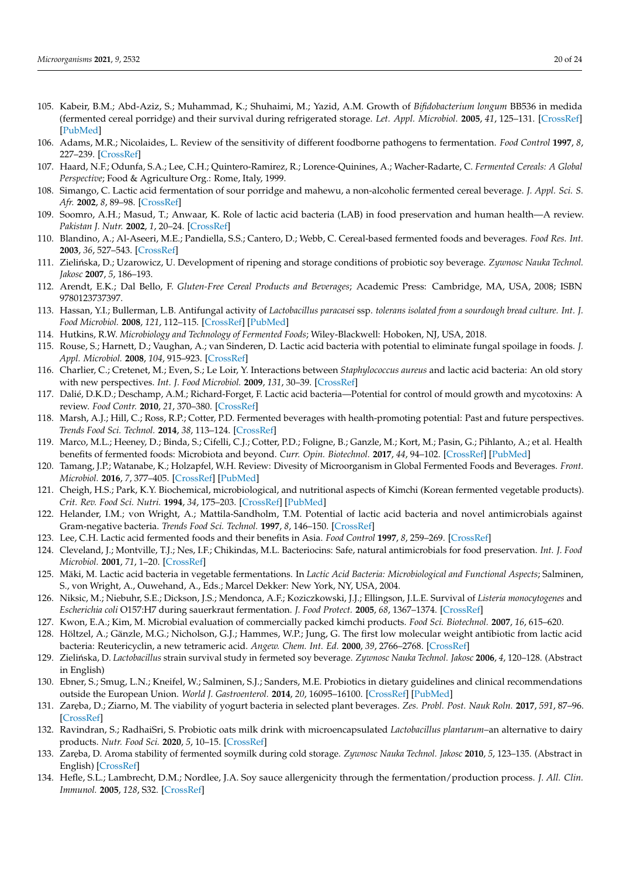- <span id="page-19-0"></span>105. Kabeir, B.M.; Abd-Aziz, S.; Muhammad, K.; Shuhaimi, M.; Yazid, A.M. Growth of *Bifidobacterium longum* BB536 in medida (fermented cereal porridge) and their survival during refrigerated storage. *Let. Appl. Microbiol.* **2005**, *41*, 125–131. [\[CrossRef\]](http://doi.org/10.1111/j.1472-765X.2005.01735.x) [\[PubMed\]](http://www.ncbi.nlm.nih.gov/pubmed/16033508)
- <span id="page-19-1"></span>106. Adams, M.R.; Nicolaides, L. Review of the sensitivity of different foodborne pathogens to fermentation. *Food Control* **1997**, *8*, 227–239. [\[CrossRef\]](http://doi.org/10.1016/S0956-7135(97)00016-9)
- 107. Haard, N.F.; Odunfa, S.A.; Lee, C.H.; Quintero-Ramirez, R.; Lorence-Quinines, A.; Wacher-Radarte, C. *Fermented Cereals: A Global Perspective*; Food & Agriculture Org.: Rome, Italy, 1999.
- 108. Simango, C. Lactic acid fermentation of sour porridge and mahewu, a non-alcoholic fermented cereal beverage. *J. Appl. Sci. S. Afr.* **2002**, *8*, 89–98. [\[CrossRef\]](http://doi.org/10.4314/jassa.v8i2.16926)
- 109. Soomro, A.H.; Masud, T.; Anwaar, K. Role of lactic acid bacteria (LAB) in food preservation and human health—A review. *Pakistan J. Nutr.* **2002**, *1*, 20–24. [\[CrossRef\]](http://doi.org/10.3923/pjn.2002.20.24)
- 110. Blandino, A.; Al-Aseeri, M.E.; Pandiella, S.S.; Cantero, D.; Webb, C. Cereal-based fermented foods and beverages. *Food Res. Int.* **2003**, *36*, 527–543. [\[CrossRef\]](http://doi.org/10.1016/S0963-9969(03)00009-7)
- 111. Zielińska, D.; Uzarowicz, U. Development of ripening and storage conditions of probiotic soy beverage. Zywnosc Nauka Technol. *Jakosc* **2007**, *5*, 186–193.
- 112. Arendt, E.K.; Dal Bello, F. *Gluten-Free Cereal Products and Beverages*; Academic Press: Cambridge, MA, USA, 2008; ISBN 9780123737397.
- 113. Hassan, Y.I.; Bullerman, L.B. Antifungal activity of *Lactobacillus paracasei* ssp. *tolerans isolated from a sourdough bread culture. Int. J. Food Microbiol.* **2008**, *121*, 112–115. [\[CrossRef\]](http://doi.org/10.1016/j.ijfoodmicro.2007.11.038) [\[PubMed\]](http://www.ncbi.nlm.nih.gov/pubmed/18077044)
- 114. Hutkins, R.W. *Microbiology and Technology of Fermented Foods*; Wiley-Blackwell: Hoboken, NJ, USA, 2018.
- 115. Rouse, S.; Harnett, D.; Vaughan, A.; van Sinderen, D. Lactic acid bacteria with potential to eliminate fungal spoilage in foods. *J. Appl. Microbiol.* **2008**, *104*, 915–923. [\[CrossRef\]](http://doi.org/10.1111/j.1365-2672.2007.03619.x)
- 116. Charlier, C.; Cretenet, M.; Even, S.; Le Loir, Y. Interactions between *Staphylococcus aureus* and lactic acid bacteria: An old story with new perspectives. *Int. J. Food Microbiol.* **2009**, *131*, 30–39. [\[CrossRef\]](http://doi.org/10.1016/j.ijfoodmicro.2008.06.032)
- 117. Dalié, D.K.D.; Deschamp, A.M.; Richard-Forget, F. Lactic acid bacteria—Potential for control of mould growth and mycotoxins: A review. *Food Contr.* **2010**, *21*, 370–380. [\[CrossRef\]](http://doi.org/10.1016/j.foodcont.2009.07.011)
- <span id="page-19-2"></span>118. Marsh, A.J.; Hill, C.; Ross, R.P.; Cotter, P.D. Fermented beverages with health-promoting potential: Past and future perspectives. *Trends Food Sci. Technol.* **2014**, *38*, 113–124. [\[CrossRef\]](http://doi.org/10.1016/j.tifs.2014.05.002)
- <span id="page-19-3"></span>119. Marco, M.L.; Heeney, D.; Binda, S.; Cifelli, C.J.; Cotter, P.D.; Foligne, B.; Ganzle, M.; Kort, M.; Pasin, G.; Pihlanto, A.; et al. Health benefits of fermented foods: Microbiota and beyond. *Curr. Opin. Biotechnol.* **2017**, *44*, 94–102. [\[CrossRef\]](http://doi.org/10.1016/j.copbio.2016.11.010) [\[PubMed\]](http://www.ncbi.nlm.nih.gov/pubmed/27998788)
- <span id="page-19-4"></span>120. Tamang, J.P.; Watanabe, K.; Holzapfel, W.H. Review: Divesity of Microorganism in Global Fermented Foods and Beverages. *Front. Microbiol.* **2016**, *7*, 377–405. [\[CrossRef\]](http://doi.org/10.3389/fmicb.2016.00377) [\[PubMed\]](http://www.ncbi.nlm.nih.gov/pubmed/27047484)
- <span id="page-19-5"></span>121. Cheigh, H.S.; Park, K.Y. Biochemical, microbiological, and nutritional aspects of Kimchi (Korean fermented vegetable products). *Crit. Rev. Food Sci. Nutri.* **1994**, *34*, 175–203. [\[CrossRef\]](http://doi.org/10.1080/10408399409527656) [\[PubMed\]](http://www.ncbi.nlm.nih.gov/pubmed/8011144)
- 122. Helander, I.M.; von Wright, A.; Mattila-Sandholm, T.M. Potential of lactic acid bacteria and novel antimicrobials against Gram-negative bacteria. *Trends Food Sci. Technol.* **1997**, *8*, 146–150. [\[CrossRef\]](http://doi.org/10.1016/S0924-2244(97)01030-3)
- 123. Lee, C.H. Lactic acid fermented foods and their benefits in Asia. *Food Control* **1997**, *8*, 259–269. [\[CrossRef\]](http://doi.org/10.1016/S0956-7135(97)00015-7)
- 124. Cleveland, J.; Montville, T.J.; Nes, I.F.; Chikindas, M.L. Bacteriocins: Safe, natural antimicrobials for food preservation. *Int. J. Food Microbiol.* **2001**, *71*, 1–20. [\[CrossRef\]](http://doi.org/10.1016/S0168-1605(01)00560-8)
- 125. Mäki, M. Lactic acid bacteria in vegetable fermentations. In *Lactic Acid Bacteria: Microbiological and Functional Aspects*; Salminen, S., von Wright, A., Ouwehand, A., Eds.; Marcel Dekker: New York, NY, USA, 2004.
- 126. Niksic, M.; Niebuhr, S.E.; Dickson, J.S.; Mendonca, A.F.; Koziczkowski, J.J.; Ellingson, J.L.E. Survival of *Listeria monocytogenes* and *Escherichia coli* O157:H7 during sauerkraut fermentation. *J. Food Protect.* **2005**, *68*, 1367–1374. [\[CrossRef\]](http://doi.org/10.4315/0362-028X-68.7.1367)
- <span id="page-19-6"></span>127. Kwon, E.A.; Kim, M. Microbial evaluation of commercially packed kimchi products. *Food Sci. Biotechnol.* **2007**, *16*, 615–620.
- <span id="page-19-7"></span>128. Höltzel, A.; Gänzle, M.G.; Nicholson, G.J.; Hammes, W.P.; Jung, G. The first low molecular weight antibiotic from lactic acid bacteria: Reutericyclin, a new tetrameric acid. *Angew. Chem. Int. Ed.* **2000**, *39*, 2766–2768. [\[CrossRef\]](http://doi.org/10.1002/1521-3773(20000804)39:15<2766::AID-ANIE2766>3.0.CO;2-G)
- 129. Zieli ´nska, D. *Lactobacillus* strain survival study in fermeted soy beverage. *Zywnosc Nauka Technol. Jakosc* **2006**, *4*, 120–128. (Abstract in English)
- 130. Ebner, S.; Smug, L.N.; Kneifel, W.; Salminen, S.J.; Sanders, M.E. Probiotics in dietary guidelines and clinical recommendations outside the European Union. *World J. Gastroenterol.* **2014**, *20*, 16095–16100. [\[CrossRef\]](http://doi.org/10.3748/wjg.v20.i43.16095) [\[PubMed\]](http://www.ncbi.nlm.nih.gov/pubmed/25473160)
- <span id="page-19-11"></span>131. Zar˛eba, D.; Ziarno, M. The viability of yogurt bacteria in selected plant beverages. *Zes. Probl. Post. Nauk Roln.* **2017**, *591*, 87–96. [\[CrossRef\]](http://doi.org/10.22630/ZPPNR.2017.591.46)
- <span id="page-19-8"></span>132. Ravindran, S.; RadhaiSri, S. Probiotic oats milk drink with microencapsulated *Lactobacillus plantarum*–an alternative to dairy products. *Nutr. Food Sci.* **2020**, *5*, 10–15. [\[CrossRef\]](http://doi.org/10.1108/NFS-03-2020-0073)
- <span id="page-19-9"></span>133. Zar˛eba, D. Aroma stability of fermented soymilk during cold storage. *Zywnosc Nauka Technol. Jakosc* **2010**, *5*, 123–135. (Abstract in English) [\[CrossRef\]](http://doi.org/10.15193/zntj/2010/72/123-135)
- <span id="page-19-10"></span>134. Hefle, S.L.; Lambrecht, D.M.; Nordlee, J.A. Soy sauce allergenicity through the fermentation/production process. *J. All. Clin. Immunol.* **2005**, *128*, S32. [\[CrossRef\]](http://doi.org/10.1016/j.jaci.2004.12.143)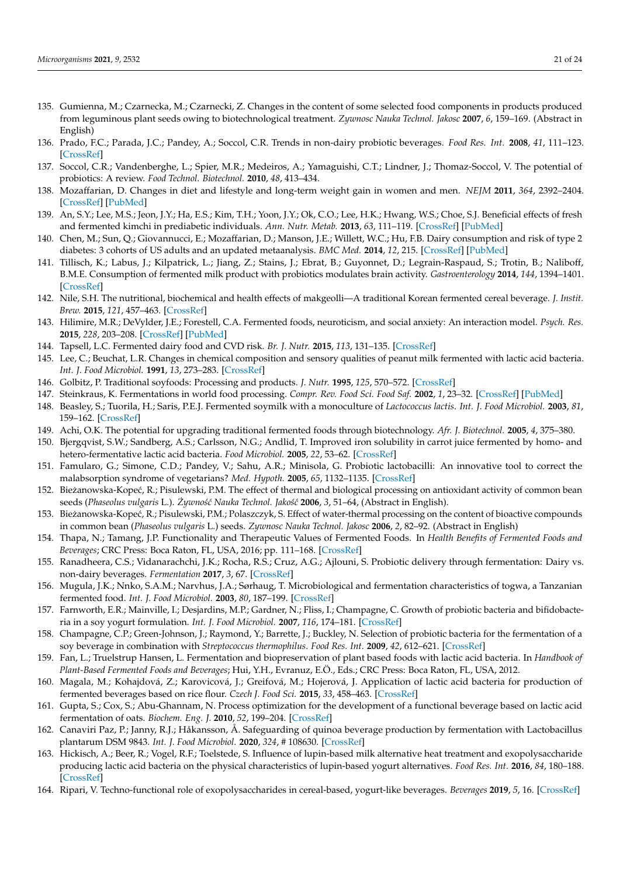- <span id="page-20-1"></span>135. Gumienna, M.; Czarnecka, M.; Czarnecki, Z. Changes in the content of some selected food components in products produced from leguminous plant seeds owing to biotechnological treatment. *Zywnosc Nauka Technol. Jakosc* **2007**, *6*, 159–169. (Abstract in English)
- 136. Prado, F.C.; Parada, J.C.; Pandey, A.; Soccol, C.R. Trends in non-dairy probiotic beverages. *Food Res. Int.* **2008**, *41*, 111–123. [\[CrossRef\]](http://doi.org/10.1016/j.foodres.2007.10.010)
- 137. Soccol, C.R.; Vandenberghe, L.; Spier, M.R.; Medeiros, A.; Yamaguishi, C.T.; Lindner, J.; Thomaz-Soccol, V. The potential of probiotics: A review. *Food Technol. Biotechnol.* **2010**, *48*, 413–434.
- 138. Mozaffarian, D. Changes in diet and lifestyle and long-term weight gain in women and men. *NEJM* **2011**, *364*, 2392–2404. [\[CrossRef\]](http://doi.org/10.1056/NEJMoa1014296) [\[PubMed\]](http://www.ncbi.nlm.nih.gov/pubmed/21696306)
- 139. An, S.Y.; Lee, M.S.; Jeon, J.Y.; Ha, E.S.; Kim, T.H.; Yoon, J.Y.; Ok, C.O.; Lee, H.K.; Hwang, W.S.; Choe, S.J. Beneficial effects of fresh and fermented kimchi in prediabetic individuals. *Ann. Nutr. Metab.* **2013**, *63*, 111–119. [\[CrossRef\]](http://doi.org/10.1159/000353583) [\[PubMed\]](http://www.ncbi.nlm.nih.gov/pubmed/23969321)
- 140. Chen, M.; Sun, Q.; Giovannucci, E.; Mozaffarian, D.; Manson, J.E.; Willett, W.C.; Hu, F.B. Dairy consumption and risk of type 2 diabetes: 3 cohorts of US adults and an updated metaanalysis. *BMC Med.* **2014**, *12*, 215. [\[CrossRef\]](http://doi.org/10.1186/s12916-014-0215-1) [\[PubMed\]](http://www.ncbi.nlm.nih.gov/pubmed/25420418)
- 141. Tillisch, K.; Labus, J.; Kilpatrick, L.; Jiang, Z.; Stains, J.; Ebrat, B.; Guyonnet, D.; Legrain-Raspaud, S.; Trotin, B.; Naliboff, B.M.E. Consumption of fermented milk product with probiotics modulates brain activity. *Gastroenterology* **2014**, *144*, 1394–1401. [\[CrossRef\]](http://doi.org/10.1053/j.gastro.2013.02.043)
- 142. Nile, S.H. The nutritional, biochemical and health effects of makgeolli—A traditional Korean fermented cereal beverage. *J. Instit. Brew.* **2015**, *121*, 457–463. [\[CrossRef\]](http://doi.org/10.1002/jib.264)
- 143. Hilimire, M.R.; DeVylder, J.E.; Forestell, C.A. Fermented foods, neuroticism, and social anxiety: An interaction model. *Psych. Res.* **2015**, *228*, 203–208. [\[CrossRef\]](http://doi.org/10.1016/j.psychres.2015.04.023) [\[PubMed\]](http://www.ncbi.nlm.nih.gov/pubmed/25998000)
- <span id="page-20-0"></span>144. Tapsell, L.C. Fermented dairy food and CVD risk. *Br. J. Nutr.* **2015**, *113*, 131–135. [\[CrossRef\]](http://doi.org/10.1017/S0007114514002359)
- <span id="page-20-2"></span>145. Lee, C.; Beuchat, L.R. Changes in chemical composition and sensory qualities of peanut milk fermented with lactic acid bacteria. *Int. J. Food Microbiol.* **1991**, *13*, 273–283. [\[CrossRef\]](http://doi.org/10.1016/0168-1605(91)90085-4)
- 146. Golbitz, P. Traditional soyfoods: Processing and products. *J. Nutr.* **1995**, *125*, 570–572. [\[CrossRef\]](http://doi.org/10.1093/jn/125.suppl_3.570S)
- 147. Steinkraus, K. Fermentations in world food processing. *Compr. Rev. Food Sci. Food Saf.* **2002**, *1*, 23–32. [\[CrossRef\]](http://doi.org/10.1111/j.1541-4337.2002.tb00004.x) [\[PubMed\]](http://www.ncbi.nlm.nih.gov/pubmed/33451246)
- <span id="page-20-11"></span>148. Beasley, S.; Tuorila, H.; Saris, P.E.J. Fermented soymilk with a monoculture of *Lactococcus lactis*. *Int. J. Food Microbiol.* **2003**, *81*, 159–162. [\[CrossRef\]](http://doi.org/10.1016/S0168-1605(02)00196-4)
- 149. Achi, O.K. The potential for upgrading traditional fermented foods through biotechnology. *Afr. J. Biotechnol.* **2005**, *4*, 375–380.
- 150. Bjergqvist, S.W.; Sandberg, A.S.; Carlsson, N.G.; Andlid, T. Improved iron solubility in carrot juice fermented by homo- and hetero-fermentative lactic acid bacteria. *Food Microbiol.* **2005**, *22*, 53–62. [\[CrossRef\]](http://doi.org/10.1016/j.fm.2004.04.006)
- 151. Famularo, G.; Simone, C.D.; Pandey, V.; Sahu, A.R.; Minisola, G. Probiotic lactobacilli: An innovative tool to correct the malabsorption syndrome of vegetarians? *Med. Hypoth.* **2005**, *65*, 1132–1135. [\[CrossRef\]](http://doi.org/10.1016/j.mehy.2004.09.030)
- <span id="page-20-8"></span>152. Biezanowska-Kopeć, R.; Pisulewski, P.M. The effect of thermal and biological processing on antioxidant activity of common bean seeds (*Phaseolus vulgaris* L.). *Zywno´s´c Nauka Technol. Jako´s´c ˙* **2006**, *3*, 51–64, (Abstract in English).
- <span id="page-20-9"></span>153. Bieżanowska-Kopeć, R.; Pisulewski, P.M.; Polaszczyk, S. Effect of water-thermal processing on the content of bioactive compounds in common bean (*Phaseolus vulgaris* L.) seeds. *Zywnosc Nauka Technol. Jakosc* **2006**, *2*, 82–92. (Abstract in English)
- <span id="page-20-3"></span>154. Thapa, N.; Tamang, J.P. Functionality and Therapeutic Values of Fermented Foods. In *Health Benefits of Fermented Foods and Beverages*; CRC Press: Boca Raton, FL, USA, 2016; pp. 111–168. [\[CrossRef\]](http://doi.org/10.1201/b18279-3)
- <span id="page-20-4"></span>155. Ranadheera, C.S.; Vidanarachchi, J.K.; Rocha, R.S.; Cruz, A.G.; Ajlouni, S. Probiotic delivery through fermentation: Dairy vs. non-dairy beverages. *Fermentation* **2017**, *3*, 67. [\[CrossRef\]](http://doi.org/10.3390/fermentation3040067)
- 156. Mugula, J.K.; Nnko, S.A.M.; Narvhus, J.A.; Sørhaug, T. Microbiological and fermentation characteristics of togwa, a Tanzanian fermented food. *Int. J. Food Microbiol.* **2003**, *80*, 187–199. [\[CrossRef\]](http://doi.org/10.1016/S0168-1605(02)00141-1)
- <span id="page-20-10"></span>157. Farnworth, E.R.; Mainville, I.; Desjardins, M.P.; Gardner, N.; Fliss, I.; Champagne, C. Growth of probiotic bacteria and bifidobacteria in a soy yogurt formulation. *Int. J. Food Microbiol.* **2007**, *116*, 174–181. [\[CrossRef\]](http://doi.org/10.1016/j.ijfoodmicro.2006.12.015)
- <span id="page-20-14"></span>158. Champagne, C.P.; Green-Johnson, J.; Raymond, Y.; Barrette, J.; Buckley, N. Selection of probiotic bacteria for the fermentation of a soy beverage in combination with *Streptococcus thermophilus*. *Food Res. Int.* **2009**, *42*, 612–621. [\[CrossRef\]](http://doi.org/10.1016/j.foodres.2008.12.018)
- 159. Fan, L.; Truelstrup Hansen, L. Fermentation and biopreservation of plant based foods with lactic acid bacteria. In *Handbook of Plant-Based Fermented Foods and Beverages*; Hui, Y.H., Evranuz, E.Ö., Eds.; CRC Press: Boca Raton, FL, USA, 2012.
- <span id="page-20-12"></span>160. Magala, M.; Kohajdová, Z.; Karovicová, J.; Greifová, M.; Hojerová, J. Application of lactic acid bacteria for production of fermented beverages based on rice flour. *Czech J. Food Sci.* **2015**, *33*, 458–463. [\[CrossRef\]](http://doi.org/10.17221/74/2015-CJFS)
- <span id="page-20-13"></span>161. Gupta, S.; Cox, S.; Abu-Ghannam, N. Process optimization for the development of a functional beverage based on lactic acid fermentation of oats. *Biochem. Eng. J.* **2010**, *52*, 199–204. [\[CrossRef\]](http://doi.org/10.1016/j.bej.2010.08.008)
- <span id="page-20-5"></span>162. Canaviri Paz, P.; Janny, R.J.; Håkansson, Å. Safeguarding of quinoa beverage production by fermentation with Lactobacillus plantarum DSM 9843. *Int. J. Food Microbiol.* **2020**, *324*, # 108630. [\[CrossRef\]](http://doi.org/10.1016/j.ijfoodmicro.2020.108630)
- <span id="page-20-6"></span>163. Hickisch, A.; Beer, R.; Vogel, R.F.; Toelstede, S. Influence of lupin-based milk alternative heat treatment and exopolysaccharide producing lactic acid bacteria on the physical characteristics of lupin-based yogurt alternatives. *Food Res. Int.* **2016**, *84*, 180–188. [\[CrossRef\]](http://doi.org/10.1016/j.foodres.2016.03.037)
- <span id="page-20-7"></span>164. Ripari, V. Techno-functional role of exopolysaccharides in cereal-based, yogurt-like beverages. *Beverages* **2019**, *5*, 16. [\[CrossRef\]](http://doi.org/10.3390/beverages5010016)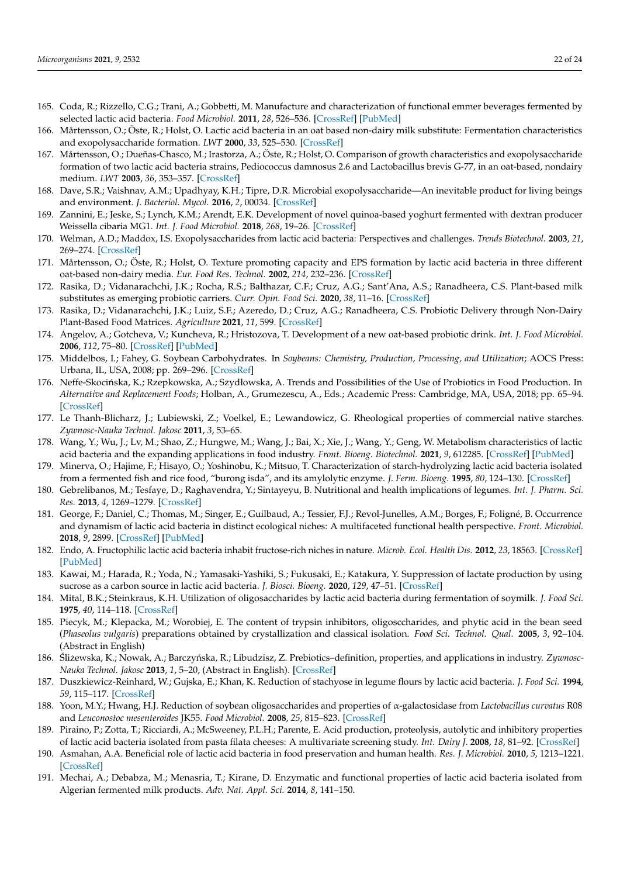- <span id="page-21-22"></span>165. Coda, R.; Rizzello, C.G.; Trani, A.; Gobbetti, M. Manufacture and characterization of functional emmer beverages fermented by selected lactic acid bacteria. *Food Microbiol.* **2011**, *28*, 526–536. [\[CrossRef\]](http://doi.org/10.1016/j.fm.2010.11.001) [\[PubMed\]](http://www.ncbi.nlm.nih.gov/pubmed/21356461)
- <span id="page-21-21"></span>166. Mårtensson, O.; Öste, R.; Holst, O. Lactic acid bacteria in an oat based non-dairy milk substitute: Fermentation characteristics and exopolysaccharide formation. *LWT* **2000**, *33*, 525–530. [\[CrossRef\]](http://doi.org/10.1006/fstl.2000.0718)
- <span id="page-21-0"></span>167. Mårtensson, O.; Dueñas-Chasco, M.; Irastorza, A.; Öste, R.; Holst, O. Comparison of growth characteristics and exopolysaccharide formation of two lactic acid bacteria strains, Pediococcus damnosus 2.6 and Lactobacillus brevis G-77, in an oat-based, nondairy medium. *LWT* **2003**, *36*, 353–357. [\[CrossRef\]](http://doi.org/10.1016/S0023-6438(03)00020-3)
- <span id="page-21-1"></span>168. Dave, S.R.; Vaishnav, A.M.; Upadhyay, K.H.; Tipre, D.R. Microbial exopolysaccharide—An inevitable product for living beings and environment. *J. Bacteriol. Mycol.* **2016**, *2*, 00034. [\[CrossRef\]](http://doi.org/10.15406/jbmoa.2016.02.00034)
- <span id="page-21-2"></span>169. Zannini, E.; Jeske, S.; Lynch, K.M.; Arendt, E.K. Development of novel quinoa-based yoghurt fermented with dextran producer Weissella cibaria MG1. *Int. J. Food Microbiol.* **2018**, *268*, 19–26. [\[CrossRef\]](http://doi.org/10.1016/j.ijfoodmicro.2018.01.001)
- <span id="page-21-3"></span>170. Welman, A.D.; Maddox, I.S. Exopolysaccharides from lactic acid bacteria: Perspectives and challenges. *Trends Biotechnol.* **2003**, *21*, 269–274. [\[CrossRef\]](http://doi.org/10.1016/S0167-7799(03)00107-0)
- <span id="page-21-4"></span>171. Mårtensson, O.; Öste, R.; Holst, O. Texture promoting capacity and EPS formation by lactic acid bacteria in three different oat-based non-dairy media. *Eur. Food Res. Technol.* **2002**, *214*, 232–236. [\[CrossRef\]](http://doi.org/10.1007/s00217-001-0440-7)
- <span id="page-21-5"></span>172. Rasika, D.; Vidanarachchi, J.K.; Rocha, R.S.; Balthazar, C.F.; Cruz, A.G.; Sant'Ana, A.S.; Ranadheera, C.S. Plant-based milk substitutes as emerging probiotic carriers. *Curr. Opin. Food Sci.* **2020**, *38*, 11–16. [\[CrossRef\]](http://doi.org/10.1016/j.cofs.2020.10.025)
- 173. Rasika, D.; Vidanarachchi, J.K.; Luiz, S.F.; Azeredo, D.; Cruz, A.G.; Ranadheera, C.S. Probiotic Delivery through Non-Dairy Plant-Based Food Matrices. *Agriculture* **2021**, *11*, 599. [\[CrossRef\]](http://doi.org/10.3390/agriculture11070599)
- <span id="page-21-6"></span>174. Angelov, A.; Gotcheva, V.; Kuncheva, R.; Hristozova, T. Development of a new oat-based probiotic drink. *Int. J. Food Microbiol.* **2006**, *112*, 75–80. [\[CrossRef\]](http://doi.org/10.1016/j.ijfoodmicro.2006.05.015) [\[PubMed\]](http://www.ncbi.nlm.nih.gov/pubmed/16854486)
- <span id="page-21-7"></span>175. Middelbos, I.; Fahey, G. Soybean Carbohydrates. In *Soybeans: Chemistry, Production, Processing, and Utilization*; AOCS Press: Urbana, IL, USA, 2008; pp. 269–296. [\[CrossRef\]](http://doi.org/10.1016/B978-1-893997-64-6.50012-3)
- <span id="page-21-8"></span>176. Neffe-Skocińska, K.; Rzepkowska, A.; Szydłowska, A. Trends and Possibilities of the Use of Probiotics in Food Production. In *Alternative and Replacement Foods*; Holban, A., Grumezescu, A., Eds.; Academic Press: Cambridge, MA, USA, 2018; pp. 65–94. [\[CrossRef\]](http://doi.org/10.1016/B978-0-12-811446-9.00003-4)
- <span id="page-21-9"></span>177. Le Thanh-Blicharz, J.; Lubiewski, Z.; Voelkel, E.; Lewandowicz, G. Rheological properties of commercial native starches. *Zywnosc-Nauka Technol. Jakosc* **2011**, *3*, 53–65.
- <span id="page-21-10"></span>178. Wang, Y.; Wu, J.; Lv, M.; Shao, Z.; Hungwe, M.; Wang, J.; Bai, X.; Xie, J.; Wang, Y.; Geng, W. Metabolism characteristics of lactic acid bacteria and the expanding applications in food industry. *Front. Bioeng. Biotechnol.* **2021**, *9*, 612285. [\[CrossRef\]](http://doi.org/10.3389/fbioe.2021.612285) [\[PubMed\]](http://www.ncbi.nlm.nih.gov/pubmed/34055755)
- <span id="page-21-13"></span>179. Minerva, O.; Hajime, F.; Hisayo, O.; Yoshinobu, K.; Mitsuo, T. Characterization of starch-hydrolyzing lactic acid bacteria isolated from a fermented fish and rice food, "burong isda", and its amylolytic enzyme. *J. Ferm. Bioeng.* **1995**, *80*, 124–130. [\[CrossRef\]](http://doi.org/10.1016/0922-338X(95)93206-Y)
- <span id="page-21-14"></span>180. Gebrelibanos, M.; Tesfaye, D.; Raghavendra, Y.; Sintayeyu, B. Nutritional and health implications of legumes. *Int. J. Pharm. Sci. Res.* **2013**, *4*, 1269–1279. [\[CrossRef\]](http://doi.org/10.13040/IJPSR.0975-8232.4.1269-79)
- <span id="page-21-11"></span>181. George, F.; Daniel, C.; Thomas, M.; Singer, E.; Guilbaud, A.; Tessier, F.J.; Revol-Junelles, A.M.; Borges, F.; Foligné, B. Occurrence and dynamism of lactic acid bacteria in distinct ecological niches: A multifaceted functional health perspective. *Front. Microbiol.* **2018**, *9*, 2899. [\[CrossRef\]](http://doi.org/10.3389/fmicb.2018.02899) [\[PubMed\]](http://www.ncbi.nlm.nih.gov/pubmed/30538693)
- 182. Endo, A. Fructophilic lactic acid bacteria inhabit fructose-rich niches in nature. *Microb. Ecol. Health Dis.* **2012**, *23*, 18563. [\[CrossRef\]](http://doi.org/10.3402/mehd.v23i0.18563) [\[PubMed\]](http://www.ncbi.nlm.nih.gov/pubmed/23990834)
- <span id="page-21-12"></span>183. Kawai, M.; Harada, R.; Yoda, N.; Yamasaki-Yashiki, S.; Fukusaki, E.; Katakura, Y. Suppression of lactate production by using sucrose as a carbon source in lactic acid bacteria. *J. Biosci. Bioeng.* **2020**, *129*, 47–51. [\[CrossRef\]](http://doi.org/10.1016/j.jbiosc.2019.06.017)
- <span id="page-21-15"></span>184. Mital, B.K.; Steinkraus, K.H. Utilization of oligosaccharides by lactic acid bacteria during fermentation of soymilk. *J. Food Sci.* **1975**, *40*, 114–118. [\[CrossRef\]](http://doi.org/10.1111/j.1365-2621.1975.tb03749.x)
- 185. Piecyk, M.; Klepacka, M.; Worobiej, E. The content of trypsin inhibitors, oligosccharides, and phytic acid in the bean seed (*Phaseolus vulgaris*) preparations obtained by crystallization and classical isolation. *Food Sci. Technol. Qual.* **2005**, *3*, 92–104. (Abstract in English)
- <span id="page-21-16"></span>186. Śliżewska, K.; Nowak, A.; Barczyńska, R.; Libudzisz, Z. Prebiotics-definition, properties, and applications in industry. Zywnosc-*Nauka Technol. Jakosc* **2013**, *1*, 5–20, (Abstract in English). [\[CrossRef\]](http://doi.org/10.15193/zntj/2013/86/005-020)
- <span id="page-21-17"></span>187. Duszkiewicz-Reinhard, W.; Gujska, E.; Khan, K. Reduction of stachyose in legume flours by lactic acid bacteria. *J. Food Sci.* **1994**, *59*, 115–117. [\[CrossRef\]](http://doi.org/10.1111/j.1365-2621.1994.tb06911.x)
- <span id="page-21-18"></span>188. Yoon, M.Y.; Hwang, H.J. Reduction of soybean oligosaccharides and properties of α-galactosidase from *Lactobacillus curvatus* R08 and *Leuconostoc mesenteroides* JK55. *Food Microbiol.* **2008**, *25*, 815–823. [\[CrossRef\]](http://doi.org/10.1016/j.fm.2008.04.008)
- <span id="page-21-19"></span>189. Piraino, P.; Zotta, T.; Ricciardi, A.; McSweeney, P.L.H.; Parente, E. Acid production, proteolysis, autolytic and inhibitory properties of lactic acid bacteria isolated from pasta filata cheeses: A multivariate screening study. *Int. Dairy J.* **2008**, *18*, 81–92. [\[CrossRef\]](http://doi.org/10.1016/j.idairyj.2007.06.002)
- 190. Asmahan, A.A. Beneficial role of lactic acid bacteria in food preservation and human health. *Res. J. Microbiol.* **2010**, *5*, 1213–1221. [\[CrossRef\]](http://doi.org/10.3923/jm.2010.1213.1221)
- <span id="page-21-20"></span>191. Mechai, A.; Debabza, M.; Menasria, T.; Kirane, D. Enzymatic and functional properties of lactic acid bacteria isolated from Algerian fermented milk products. *Adv. Nat. Appl. Sci.* **2014**, *8*, 141–150.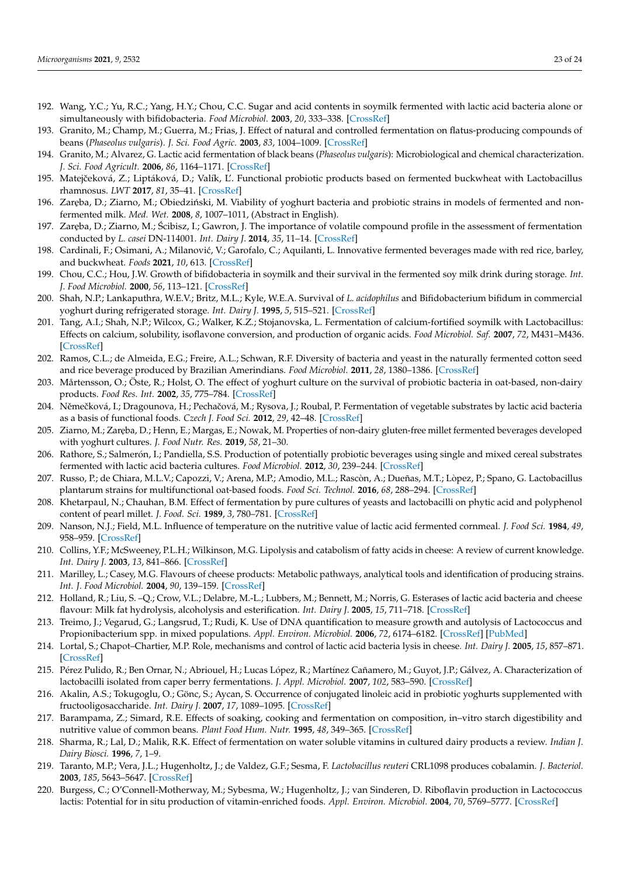- <span id="page-22-0"></span>192. Wang, Y.C.; Yu, R.C.; Yang, H.Y.; Chou, C.C. Sugar and acid contents in soymilk fermented with lactic acid bacteria alone or simultaneously with bifidobacteria. *Food Microbiol.* **2003**, *20*, 333–338. [\[CrossRef\]](http://doi.org/10.1016/S0740-0020(02)00125-9)
- <span id="page-22-1"></span>193. Granito, M.; Champ, M.; Guerra, M.; Frias, J. Effect of natural and controlled fermentation on flatus-producing compounds of beans (*Phaseolus vulgaris*). *J. Sci. Food Agric.* **2003**, *83*, 1004–1009. [\[CrossRef\]](http://doi.org/10.1002/jsfa.1388)
- <span id="page-22-2"></span>194. Granito, M.; Alvarez, G. Lactic acid fermentation of black beans (*Phaseolus vulgaris*): Microbiological and chemical characterization. *J. Sci. Food Agricult.* **2006**, *86*, 1164–1171. [\[CrossRef\]](http://doi.org/10.1002/jsfa.2490)
- <span id="page-22-3"></span>195. Matejčeková, Z.; Liptáková, D.; Valík, Ľ. Functional probiotic products based on fermented buckwheat with Lactobacillus rhamnosus. *LWT* **2017**, *81*, 35–41. [\[CrossRef\]](http://doi.org/10.1016/j.lwt.2017.03.018)
- <span id="page-22-4"></span>196. Zaręba, D.; Ziarno, M.; Obiedziński, M. Viability of yoghurt bacteria and probiotic strains in models of fermented and nonfermented milk. *Med. Wet.* **2008**, *8*, 1007–1011, (Abstract in English).
- 197. Zar˛eba, D.; Ziarno, M.; Scibisz, I.; Gawron, J. The importance of volatile compound profile in the assessment of fermentation ´ conducted by *L. casei* DN-114001. *Int. Dairy J.* **2014**, *35*, 11–14. [\[CrossRef\]](http://doi.org/10.1016/j.idairyj.2013.09.009)
- <span id="page-22-5"></span>198. Cardinali, F.; Osimani, A.; Milanović, V.; Garofalo, C.; Aquilanti, L. Innovative fermented beverages made with red rice, barley, and buckwheat. *Foods* **2021**, *10*, 613. [\[CrossRef\]](http://doi.org/10.3390/foods10030613)
- <span id="page-22-6"></span>199. Chou, C.C.; Hou, J.W. Growth of bifidobacteria in soymilk and their survival in the fermented soy milk drink during storage. *Int. J. Food Microbiol.* **2000**, *56*, 113–121. [\[CrossRef\]](http://doi.org/10.1016/S0168-1605(99)00201-9)
- 200. Shah, N.P.; Lankaputhra, W.E.V.; Britz, M.L.; Kyle, W.E.A. Survival of *L. acidophilus* and Bifidobacterium bifidum in commercial yoghurt during refrigerated storage. *Int. Dairy J.* **1995**, *5*, 515–521. [\[CrossRef\]](http://doi.org/10.1016/0958-6946(95)00028-2)
- 201. Tang, A.I.; Shah, N.P.; Wilcox, G.; Walker, K.Z.; Stojanovska, L. Fermentation of calcium-fortified soymilk with Lactobacillus: Effects on calcium, solubility, isoflavone conversion, and production of organic acids. *Food Microbiol. Saf.* **2007**, *72*, M431–M436. [\[CrossRef\]](http://doi.org/10.1111/j.1750-3841.2007.00520.x)
- <span id="page-22-9"></span>202. Ramos, C.L.; de Almeida, E.G.; Freire, A.L.; Schwan, R.F. Diversity of bacteria and yeast in the naturally fermented cotton seed and rice beverage produced by Brazilian Amerindians. *Food Microbiol.* **2011**, *28*, 1380–1386. [\[CrossRef\]](http://doi.org/10.1016/j.fm.2011.06.012)
- <span id="page-22-7"></span>203. Mårtensson, O.; Öste, R.; Holst, O. The effect of yoghurt culture on the survival of probiotic bacteria in oat-based, non-dairy products. *Food Res. Int.* **2002**, *35*, 775–784. [\[CrossRef\]](http://doi.org/10.1016/S0963-9969(02)00074-1)
- <span id="page-22-8"></span>204. Němečková, I.; Dragounova, H.; Pechačová, M.; Rysova, J.; Roubal, P. Fermentation of vegetable substrates by lactic acid bacteria as a basis of functional foods. *Czech J. Food Sci.* **2012**, *29*, 42–48. [\[CrossRef\]](http://doi.org/10.17221/282/2011-CJFS)
- <span id="page-22-11"></span>205. Ziarno, M.; Zaręba, D.; Henn, E.; Margas, E.; Nowak, M. Properties of non-dairy gluten-free millet fermented beverages developed with yoghurt cultures. *J. Food Nutr. Res.* **2019**, *58*, 21–30.
- <span id="page-22-14"></span>206. Rathore, S.; Salmerón, I.; Pandiella, S.S. Production of potentially probiotic beverages using single and mixed cereal substrates fermented with lactic acid bacteria cultures. *Food Microbiol.* **2012**, *30*, 239–244. [\[CrossRef\]](http://doi.org/10.1016/j.fm.2011.09.001)
- <span id="page-22-10"></span>207. Russo, P.; de Chiara, M.L.V.; Capozzi, V.; Arena, M.P.; Amodio, M.L.; Rascòn, A.; Dueñas, M.T.; Lòpez, P.; Spano, G. Lactobacillus plantarum strains for multifunctional oat-based foods. *Food Sci. Technol.* **2016**, *68*, 288–294. [\[CrossRef\]](http://doi.org/10.1016/j.lwt.2015.12.040)
- <span id="page-22-12"></span>208. Khetarpaul, N.; Chauhan, B.M. Effect of fermentation by pure cultures of yeasts and lactobacilli on phytic acid and polyphenol content of pearl millet. *J. Food. Sci.* **1989**, *3*, 780–781. [\[CrossRef\]](http://doi.org/10.1111/j.1365-2621.1989.tb04712.x)
- <span id="page-22-13"></span>209. Nanson, N.J.; Field, M.L. Influence of temperature on the nutritive value of lactic acid fermented cornmeal. *J. Food Sci.* **1984**, *49*, 958–959. [\[CrossRef\]](http://doi.org/10.1111/j.1365-2621.1984.tb13253.x)
- <span id="page-22-15"></span>210. Collins, Y.F.; McSweeney, P.L.H.; Wilkinson, M.G. Lipolysis and catabolism of fatty acids in cheese: A review of current knowledge. *Int. Dairy J.* **2003**, *13*, 841–866. [\[CrossRef\]](http://doi.org/10.1016/S0958-6946(03)00109-2)
- 211. Marilley, L.; Casey, M.G. Flavours of cheese products: Metabolic pathways, analytical tools and identification of producing strains. *Int. J. Food Microbiol.* **2004**, *90*, 139–159. [\[CrossRef\]](http://doi.org/10.1016/S0168-1605(03)00304-0)
- 212. Holland, R.; Liu, S. –Q.; Crow, V.L.; Delabre, M.-L.; Lubbers, M.; Bennett, M.; Norris, G. Esterases of lactic acid bacteria and cheese flavour: Milk fat hydrolysis, alcoholysis and esterification. *Int. Dairy J.* **2005**, *15*, 711–718. [\[CrossRef\]](http://doi.org/10.1016/j.idairyj.2004.09.012)
- <span id="page-22-16"></span>213. Treimo, J.; Vegarud, G.; Langsrud, T.; Rudi, K. Use of DNA quantification to measure growth and autolysis of Lactococcus and Propionibacterium spp. in mixed populations. *Appl. Environ. Microbiol.* **2006**, *72*, 6174–6182. [\[CrossRef\]](http://doi.org/10.1128/AEM.00515-06) [\[PubMed\]](http://www.ncbi.nlm.nih.gov/pubmed/16957244)
- <span id="page-22-17"></span>214. Lortal, S.; Chapot–Chartier, M.P. Role, mechanisms and control of lactic acid bacteria lysis in cheese. *Int. Dairy J.* **2005**, *15*, 857–871. [\[CrossRef\]](http://doi.org/10.1016/j.idairyj.2004.08.024)
- <span id="page-22-18"></span>215. Pérez Pulido, R.; Ben Ornar, N.; Abriouel, H.; Lucas López, R.; Martínez Cañamero, M.; Guyot, J.P.; Gálvez, A. Characterization of lactobacilli isolated from caper berry fermentations. *J. Appl. Microbiol.* **2007**, *102*, 583–590. [\[CrossRef\]](http://doi.org/10.1111/j.1365-2672.2006.03067.x)
- <span id="page-22-19"></span>216. Akalin, A.S.; Tokugoglu, O.; Gönc, S.; Aycan, S. Occurrence of conjugated linoleic acid in probiotic yoghurts supplemented with fructooligosaccharide. *Int. Dairy J.* **2007**, *17*, 1089–1095. [\[CrossRef\]](http://doi.org/10.1016/j.idairyj.2007.02.005)
- <span id="page-22-20"></span>217. Barampama, Z.; Simard, R.E. Effects of soaking, cooking and fermentation on composition, in–vitro starch digestibility and nutritive value of common beans. *Plant Food Hum. Nutr.* **1995**, *48*, 349–365. [\[CrossRef\]](http://doi.org/10.1007/BF01088494)
- <span id="page-22-21"></span>218. Sharma, R.; Lal, D.; Malik, R.K. Effect of fermentation on water soluble vitamins in cultured dairy products a review. *Indian J. Dairy Biosci.* **1996**, *7*, 1–9.
- <span id="page-22-22"></span>219. Taranto, M.P.; Vera, J.L.; Hugenholtz, J.; de Valdez, G.F.; Sesma, F. *Lactobacillus reuteri* CRL1098 produces cobalamin. *J. Bacteriol.* **2003**, *185*, 5643–5647. [\[CrossRef\]](http://doi.org/10.1128/JB.185.18.5643-5647.2003)
- <span id="page-22-23"></span>220. Burgess, C.; O'Connell-Motherway, M.; Sybesma, W.; Hugenholtz, J.; van Sinderen, D. Riboflavin production in Lactococcus lactis: Potential for in situ production of vitamin-enriched foods. *Appl. Environ. Microbiol.* **2004**, *70*, 5769–5777. [\[CrossRef\]](http://doi.org/10.1128/AEM.70.10.5769-5777.2004)